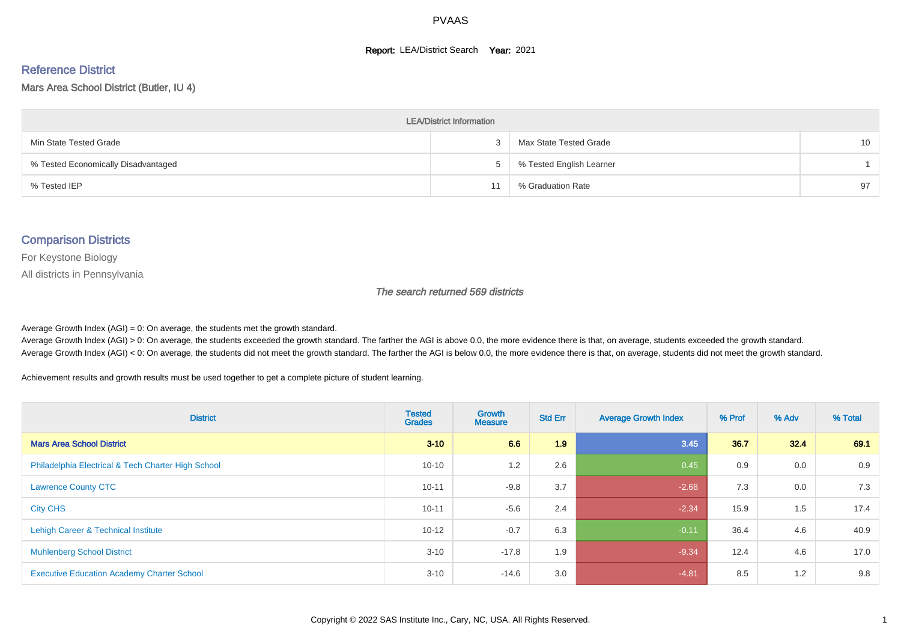#### **Report: LEA/District Search Year: 2021**

# Reference District

#### Mars Area School District (Butler, IU 4)

| <b>LEA/District Information</b>     |             |                          |    |  |  |  |  |  |  |  |
|-------------------------------------|-------------|--------------------------|----|--|--|--|--|--|--|--|
| Min State Tested Grade              |             | Max State Tested Grade   | 10 |  |  |  |  |  |  |  |
| % Tested Economically Disadvantaged | $5^{\circ}$ | % Tested English Learner |    |  |  |  |  |  |  |  |
| % Tested IEP                        |             | % Graduation Rate        | 97 |  |  |  |  |  |  |  |

#### Comparison Districts

For Keystone Biology

All districts in Pennsylvania

The search returned 569 districts

Average Growth Index  $(AGI) = 0$ : On average, the students met the growth standard.

Average Growth Index (AGI) > 0: On average, the students exceeded the growth standard. The farther the AGI is above 0.0, the more evidence there is that, on average, students exceeded the growth standard. Average Growth Index (AGI) < 0: On average, the students did not meet the growth standard. The farther the AGI is below 0.0, the more evidence there is that, on average, students did not meet the growth standard.

Achievement results and growth results must be used together to get a complete picture of student learning.

| <b>District</b>                                    | <b>Tested</b><br><b>Grades</b> | <b>Growth</b><br><b>Measure</b> | <b>Std Err</b> | <b>Average Growth Index</b> | % Prof | % Adv | % Total |
|----------------------------------------------------|--------------------------------|---------------------------------|----------------|-----------------------------|--------|-------|---------|
| <b>Mars Area School District</b>                   | $3 - 10$                       | 6.6                             | 1.9            | 3.45                        | 36.7   | 32.4  | 69.1    |
| Philadelphia Electrical & Tech Charter High School | $10 - 10$                      | 1.2                             | 2.6            | 0.45                        | 0.9    | 0.0   | 0.9     |
| <b>Lawrence County CTC</b>                         | $10 - 11$                      | $-9.8$                          | 3.7            | $-2.68$                     | 7.3    | 0.0   | 7.3     |
| <b>City CHS</b>                                    | $10 - 11$                      | $-5.6$                          | 2.4            | $-2.34$                     | 15.9   | 1.5   | 17.4    |
| Lehigh Career & Technical Institute                | $10 - 12$                      | $-0.7$                          | 6.3            | $-0.11$                     | 36.4   | 4.6   | 40.9    |
| <b>Muhlenberg School District</b>                  | $3 - 10$                       | $-17.8$                         | 1.9            | $-9.34$                     | 12.4   | 4.6   | 17.0    |
| <b>Executive Education Academy Charter School</b>  | $3 - 10$                       | $-14.6$                         | 3.0            | $-4.81$                     | 8.5    | 1.2   | 9.8     |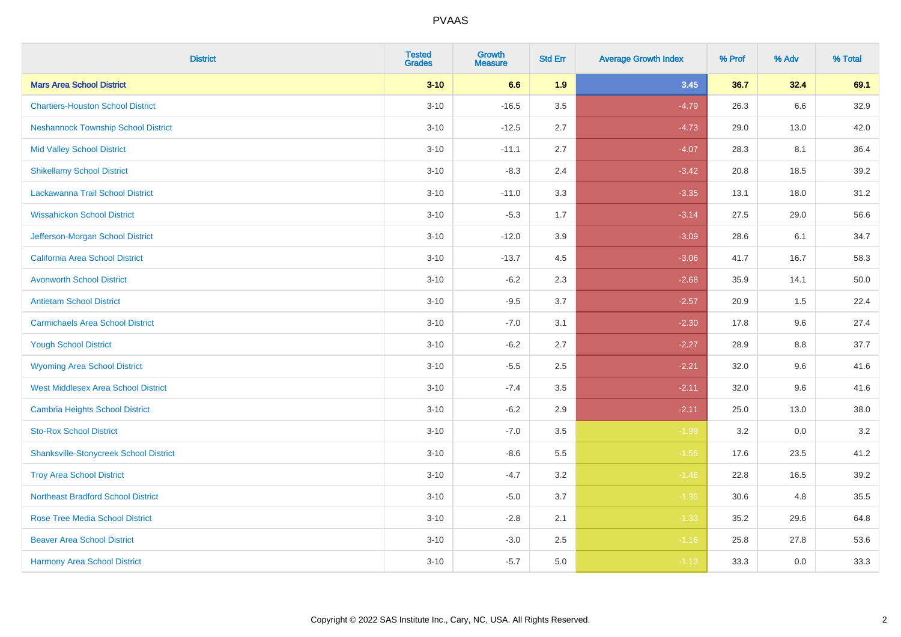| <b>District</b>                               | <b>Tested</b><br><b>Grades</b> | <b>Growth</b><br><b>Measure</b> | <b>Std Err</b> | <b>Average Growth Index</b> | % Prof | % Adv | % Total |
|-----------------------------------------------|--------------------------------|---------------------------------|----------------|-----------------------------|--------|-------|---------|
| <b>Mars Area School District</b>              | $3 - 10$                       | 6.6                             | 1.9            | 3.45                        | 36.7   | 32.4  | 69.1    |
| <b>Chartiers-Houston School District</b>      | $3 - 10$                       | $-16.5$                         | 3.5            | $-4.79$                     | 26.3   | 6.6   | 32.9    |
| <b>Neshannock Township School District</b>    | $3 - 10$                       | $-12.5$                         | 2.7            | $-4.73$                     | 29.0   | 13.0  | 42.0    |
| <b>Mid Valley School District</b>             | $3 - 10$                       | $-11.1$                         | 2.7            | $-4.07$                     | 28.3   | 8.1   | 36.4    |
| <b>Shikellamy School District</b>             | $3 - 10$                       | $-8.3$                          | 2.4            | $-3.42$                     | 20.8   | 18.5  | 39.2    |
| Lackawanna Trail School District              | $3 - 10$                       | $-11.0$                         | 3.3            | $-3.35$                     | 13.1   | 18.0  | 31.2    |
| <b>Wissahickon School District</b>            | $3 - 10$                       | $-5.3$                          | 1.7            | $-3.14$                     | 27.5   | 29.0  | 56.6    |
| Jefferson-Morgan School District              | $3 - 10$                       | $-12.0$                         | 3.9            | $-3.09$                     | 28.6   | 6.1   | 34.7    |
| <b>California Area School District</b>        | $3 - 10$                       | $-13.7$                         | 4.5            | $-3.06$                     | 41.7   | 16.7  | 58.3    |
| <b>Avonworth School District</b>              | $3 - 10$                       | $-6.2$                          | 2.3            | $-2.68$                     | 35.9   | 14.1  | 50.0    |
| <b>Antietam School District</b>               | $3 - 10$                       | $-9.5$                          | 3.7            | $-2.57$                     | 20.9   | 1.5   | 22.4    |
| <b>Carmichaels Area School District</b>       | $3 - 10$                       | $-7.0$                          | 3.1            | $-2.30$                     | 17.8   | 9.6   | 27.4    |
| <b>Yough School District</b>                  | $3 - 10$                       | $-6.2$                          | 2.7            | $-2.27$                     | 28.9   | 8.8   | 37.7    |
| <b>Wyoming Area School District</b>           | $3 - 10$                       | $-5.5$                          | 2.5            | $-2.21$                     | 32.0   | 9.6   | 41.6    |
| <b>West Middlesex Area School District</b>    | $3 - 10$                       | $-7.4$                          | 3.5            | $-2.11$                     | 32.0   | 9.6   | 41.6    |
| <b>Cambria Heights School District</b>        | $3 - 10$                       | $-6.2$                          | 2.9            | $-2.11$                     | 25.0   | 13.0  | 38.0    |
| <b>Sto-Rox School District</b>                | $3 - 10$                       | $-7.0$                          | 3.5            | $-1.99$                     | 3.2    | 0.0   | 3.2     |
| <b>Shanksville-Stonycreek School District</b> | $3 - 10$                       | $-8.6$                          | 5.5            | $-1.55$                     | 17.6   | 23.5  | 41.2    |
| <b>Troy Area School District</b>              | $3 - 10$                       | $-4.7$                          | 3.2            | $-1.46$                     | 22.8   | 16.5  | 39.2    |
| <b>Northeast Bradford School District</b>     | $3 - 10$                       | $-5.0$                          | 3.7            | $-1.35$                     | 30.6   | 4.8   | 35.5    |
| <b>Rose Tree Media School District</b>        | $3 - 10$                       | $-2.8$                          | 2.1            | $-1.33$                     | 35.2   | 29.6  | 64.8    |
| <b>Beaver Area School District</b>            | $3 - 10$                       | $-3.0$                          | 2.5            | $-1.16$                     | 25.8   | 27.8  | 53.6    |
| <b>Harmony Area School District</b>           | $3 - 10$                       | $-5.7$                          | 5.0            | $-1.13$                     | 33.3   | 0.0   | 33.3    |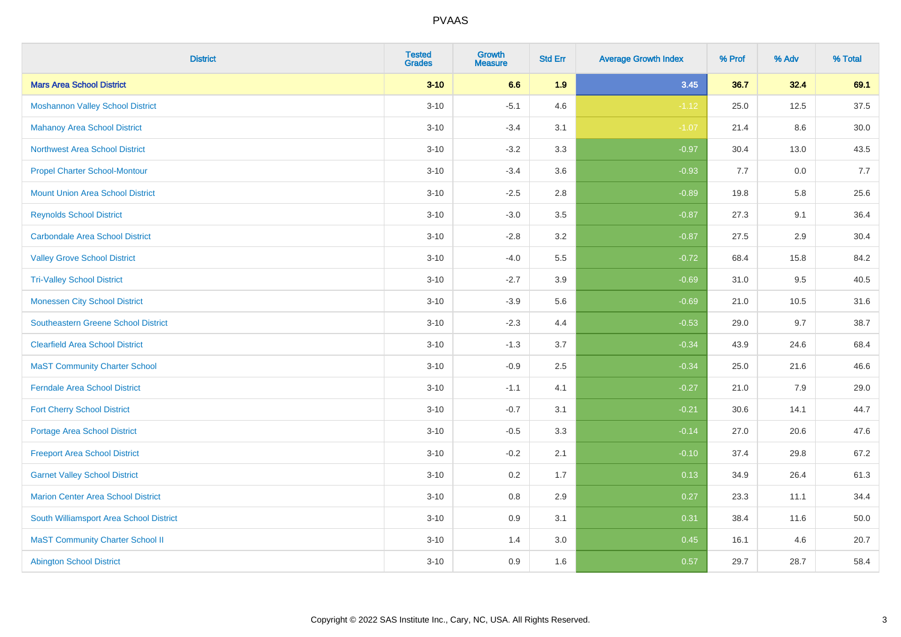| <b>District</b>                            | <b>Tested</b><br><b>Grades</b> | <b>Growth</b><br><b>Measure</b> | <b>Std Err</b> | <b>Average Growth Index</b> | % Prof | % Adv | % Total |
|--------------------------------------------|--------------------------------|---------------------------------|----------------|-----------------------------|--------|-------|---------|
| <b>Mars Area School District</b>           | $3 - 10$                       | 6.6                             | 1.9            | 3.45                        | 36.7   | 32.4  | 69.1    |
| <b>Moshannon Valley School District</b>    | $3 - 10$                       | $-5.1$                          | 4.6            | $-1.12$                     | 25.0   | 12.5  | 37.5    |
| <b>Mahanoy Area School District</b>        | $3 - 10$                       | $-3.4$                          | 3.1            | $-1.07$                     | 21.4   | 8.6   | 30.0    |
| <b>Northwest Area School District</b>      | $3 - 10$                       | $-3.2$                          | 3.3            | $-0.97$                     | 30.4   | 13.0  | 43.5    |
| <b>Propel Charter School-Montour</b>       | $3 - 10$                       | $-3.4$                          | 3.6            | $-0.93$                     | 7.7    | 0.0   | 7.7     |
| <b>Mount Union Area School District</b>    | $3 - 10$                       | $-2.5$                          | 2.8            | $-0.89$                     | 19.8   | 5.8   | 25.6    |
| <b>Reynolds School District</b>            | $3 - 10$                       | $-3.0$                          | 3.5            | $-0.87$                     | 27.3   | 9.1   | 36.4    |
| <b>Carbondale Area School District</b>     | $3 - 10$                       | $-2.8$                          | 3.2            | $-0.87$                     | 27.5   | 2.9   | 30.4    |
| <b>Valley Grove School District</b>        | $3 - 10$                       | $-4.0$                          | 5.5            | $-0.72$                     | 68.4   | 15.8  | 84.2    |
| <b>Tri-Valley School District</b>          | $3 - 10$                       | $-2.7$                          | 3.9            | $-0.69$                     | 31.0   | 9.5   | 40.5    |
| <b>Monessen City School District</b>       | $3 - 10$                       | $-3.9$                          | 5.6            | $-0.69$                     | 21.0   | 10.5  | 31.6    |
| <b>Southeastern Greene School District</b> | $3 - 10$                       | $-2.3$                          | 4.4            | $-0.53$                     | 29.0   | 9.7   | 38.7    |
| <b>Clearfield Area School District</b>     | $3 - 10$                       | $-1.3$                          | 3.7            | $-0.34$                     | 43.9   | 24.6  | 68.4    |
| <b>MaST Community Charter School</b>       | $3 - 10$                       | $-0.9$                          | 2.5            | $-0.34$                     | 25.0   | 21.6  | 46.6    |
| <b>Ferndale Area School District</b>       | $3 - 10$                       | $-1.1$                          | 4.1            | $-0.27$                     | 21.0   | 7.9   | 29.0    |
| <b>Fort Cherry School District</b>         | $3 - 10$                       | $-0.7$                          | 3.1            | $-0.21$                     | 30.6   | 14.1  | 44.7    |
| <b>Portage Area School District</b>        | $3 - 10$                       | $-0.5$                          | 3.3            | $-0.14$                     | 27.0   | 20.6  | 47.6    |
| <b>Freeport Area School District</b>       | $3 - 10$                       | $-0.2$                          | 2.1            | $-0.10$                     | 37.4   | 29.8  | 67.2    |
| <b>Garnet Valley School District</b>       | $3 - 10$                       | 0.2                             | 1.7            | 0.13                        | 34.9   | 26.4  | 61.3    |
| <b>Marion Center Area School District</b>  | $3 - 10$                       | $0.8\,$                         | 2.9            | 0.27                        | 23.3   | 11.1  | 34.4    |
| South Williamsport Area School District    | $3 - 10$                       | 0.9                             | 3.1            | 0.31                        | 38.4   | 11.6  | 50.0    |
| <b>MaST Community Charter School II</b>    | $3 - 10$                       | 1.4                             | 3.0            | 0.45                        | 16.1   | 4.6   | 20.7    |
| <b>Abington School District</b>            | $3 - 10$                       | 0.9                             | 1.6            | 0.57                        | 29.7   | 28.7  | 58.4    |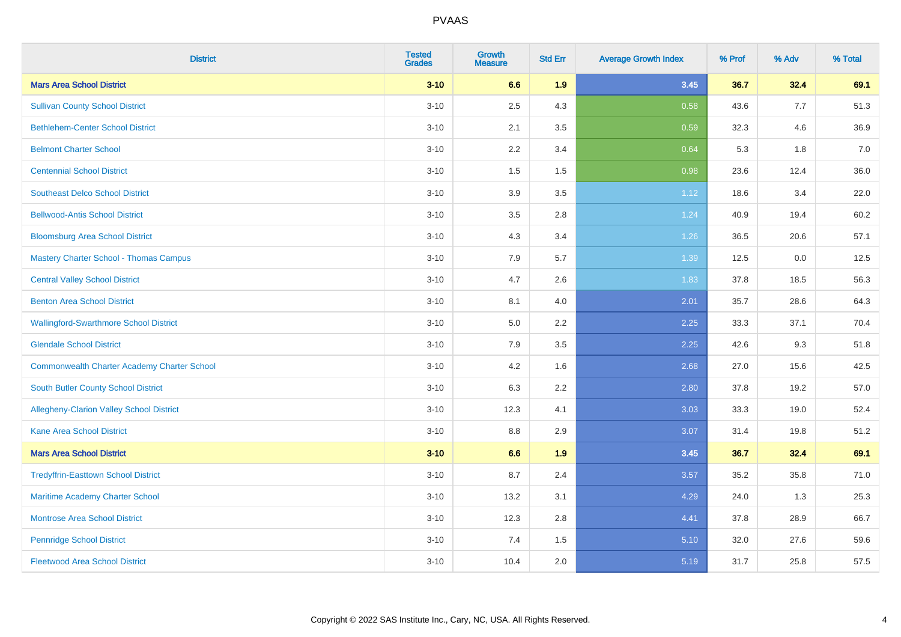| <b>District</b>                                    | <b>Tested</b><br><b>Grades</b> | <b>Growth</b><br><b>Measure</b> | <b>Std Err</b> | <b>Average Growth Index</b> | % Prof | % Adv | % Total |
|----------------------------------------------------|--------------------------------|---------------------------------|----------------|-----------------------------|--------|-------|---------|
| <b>Mars Area School District</b>                   | $3 - 10$                       | 6.6                             | 1.9            | 3.45                        | 36.7   | 32.4  | 69.1    |
| <b>Sullivan County School District</b>             | $3 - 10$                       | 2.5                             | 4.3            | 0.58                        | 43.6   | 7.7   | 51.3    |
| <b>Bethlehem-Center School District</b>            | $3 - 10$                       | 2.1                             | 3.5            | 0.59                        | 32.3   | 4.6   | 36.9    |
| <b>Belmont Charter School</b>                      | $3 - 10$                       | 2.2                             | 3.4            | 0.64                        | 5.3    | 1.8   | 7.0     |
| <b>Centennial School District</b>                  | $3 - 10$                       | 1.5                             | 1.5            | 0.98                        | 23.6   | 12.4  | 36.0    |
| <b>Southeast Delco School District</b>             | $3 - 10$                       | 3.9                             | 3.5            | 1.12                        | 18.6   | 3.4   | 22.0    |
| <b>Bellwood-Antis School District</b>              | $3 - 10$                       | $3.5\,$                         | 2.8            | 1.24                        | 40.9   | 19.4  | 60.2    |
| <b>Bloomsburg Area School District</b>             | $3 - 10$                       | 4.3                             | 3.4            | 1.26                        | 36.5   | 20.6  | 57.1    |
| <b>Mastery Charter School - Thomas Campus</b>      | $3 - 10$                       | 7.9                             | 5.7            | 1.39                        | 12.5   | 0.0   | 12.5    |
| <b>Central Valley School District</b>              | $3 - 10$                       | 4.7                             | 2.6            | 1.83                        | 37.8   | 18.5  | 56.3    |
| <b>Benton Area School District</b>                 | $3 - 10$                       | 8.1                             | 4.0            | 2.01                        | 35.7   | 28.6  | 64.3    |
| <b>Wallingford-Swarthmore School District</b>      | $3 - 10$                       | 5.0                             | 2.2            | 2.25                        | 33.3   | 37.1  | 70.4    |
| <b>Glendale School District</b>                    | $3 - 10$                       | 7.9                             | 3.5            | 2.25                        | 42.6   | 9.3   | 51.8    |
| <b>Commonwealth Charter Academy Charter School</b> | $3 - 10$                       | 4.2                             | 1.6            | 2.68                        | 27.0   | 15.6  | 42.5    |
| South Butler County School District                | $3 - 10$                       | 6.3                             | 2.2            | 2.80                        | 37.8   | 19.2  | 57.0    |
| Allegheny-Clarion Valley School District           | $3 - 10$                       | 12.3                            | 4.1            | 3.03                        | 33.3   | 19.0  | 52.4    |
| <b>Kane Area School District</b>                   | $3 - 10$                       | $8.8\,$                         | 2.9            | 3.07                        | 31.4   | 19.8  | 51.2    |
| <b>Mars Area School District</b>                   | $3-10$                         | 6.6                             | 1.9            | 3.45                        | 36.7   | 32.4  | 69.1    |
| <b>Tredyffrin-Easttown School District</b>         | $3 - 10$                       | 8.7                             | 2.4            | 3.57                        | 35.2   | 35.8  | 71.0    |
| Maritime Academy Charter School                    | $3 - 10$                       | 13.2                            | 3.1            | 4.29                        | 24.0   | 1.3   | 25.3    |
| <b>Montrose Area School District</b>               | $3 - 10$                       | 12.3                            | 2.8            | 4.41                        | 37.8   | 28.9  | 66.7    |
| <b>Pennridge School District</b>                   | $3 - 10$                       | 7.4                             | 1.5            | 5.10                        | 32.0   | 27.6  | 59.6    |
| <b>Fleetwood Area School District</b>              | $3 - 10$                       | 10.4                            | 2.0            | 5.19                        | 31.7   | 25.8  | 57.5    |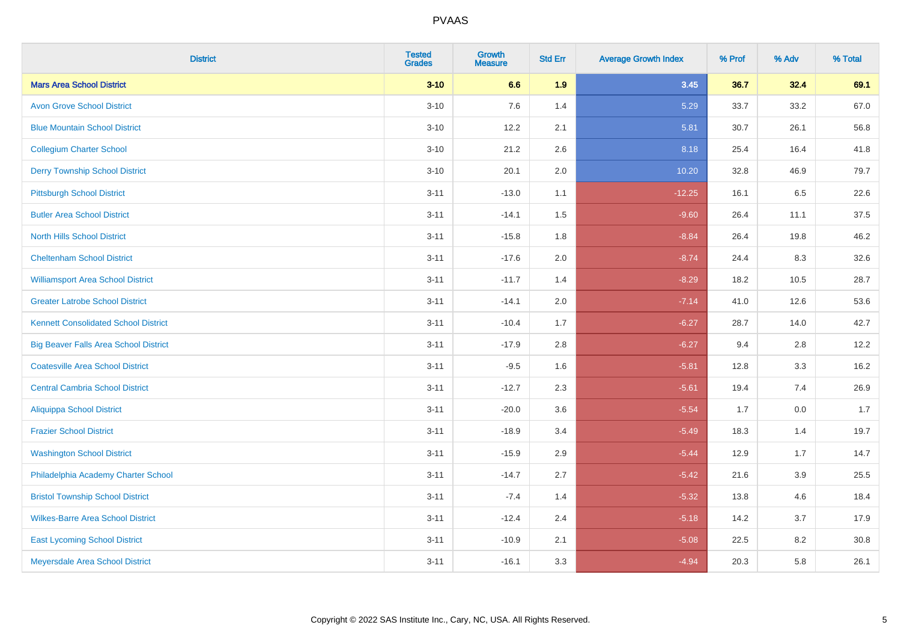| <b>District</b>                              | <b>Tested</b><br><b>Grades</b> | <b>Growth</b><br><b>Measure</b> | <b>Std Err</b> | <b>Average Growth Index</b> | % Prof | % Adv | % Total |
|----------------------------------------------|--------------------------------|---------------------------------|----------------|-----------------------------|--------|-------|---------|
| <b>Mars Area School District</b>             | $3 - 10$                       | 6.6                             | 1.9            | 3.45                        | 36.7   | 32.4  | 69.1    |
| <b>Avon Grove School District</b>            | $3 - 10$                       | 7.6                             | 1.4            | 5.29                        | 33.7   | 33.2  | 67.0    |
| <b>Blue Mountain School District</b>         | $3 - 10$                       | 12.2                            | 2.1            | 5.81                        | 30.7   | 26.1  | 56.8    |
| <b>Collegium Charter School</b>              | $3 - 10$                       | 21.2                            | 2.6            | 8.18                        | 25.4   | 16.4  | 41.8    |
| <b>Derry Township School District</b>        | $3 - 10$                       | 20.1                            | 2.0            | 10.20                       | 32.8   | 46.9  | 79.7    |
| <b>Pittsburgh School District</b>            | $3 - 11$                       | $-13.0$                         | 1.1            | $-12.25$                    | 16.1   | 6.5   | 22.6    |
| <b>Butler Area School District</b>           | $3 - 11$                       | $-14.1$                         | 1.5            | $-9.60$                     | 26.4   | 11.1  | 37.5    |
| <b>North Hills School District</b>           | $3 - 11$                       | $-15.8$                         | 1.8            | $-8.84$                     | 26.4   | 19.8  | 46.2    |
| <b>Cheltenham School District</b>            | $3 - 11$                       | $-17.6$                         | 2.0            | $-8.74$                     | 24.4   | 8.3   | 32.6    |
| <b>Williamsport Area School District</b>     | $3 - 11$                       | $-11.7$                         | 1.4            | $-8.29$                     | 18.2   | 10.5  | 28.7    |
| <b>Greater Latrobe School District</b>       | $3 - 11$                       | $-14.1$                         | 2.0            | $-7.14$                     | 41.0   | 12.6  | 53.6    |
| <b>Kennett Consolidated School District</b>  | $3 - 11$                       | $-10.4$                         | 1.7            | $-6.27$                     | 28.7   | 14.0  | 42.7    |
| <b>Big Beaver Falls Area School District</b> | $3 - 11$                       | $-17.9$                         | 2.8            | $-6.27$                     | 9.4    | 2.8   | 12.2    |
| <b>Coatesville Area School District</b>      | $3 - 11$                       | $-9.5$                          | 1.6            | $-5.81$                     | 12.8   | 3.3   | 16.2    |
| <b>Central Cambria School District</b>       | $3 - 11$                       | $-12.7$                         | 2.3            | $-5.61$                     | 19.4   | 7.4   | 26.9    |
| <b>Aliquippa School District</b>             | $3 - 11$                       | $-20.0$                         | 3.6            | $-5.54$                     | 1.7    | 0.0   | 1.7     |
| <b>Frazier School District</b>               | $3 - 11$                       | $-18.9$                         | 3.4            | $-5.49$                     | 18.3   | 1.4   | 19.7    |
| <b>Washington School District</b>            | $3 - 11$                       | $-15.9$                         | 2.9            | $-5.44$                     | 12.9   | 1.7   | 14.7    |
| Philadelphia Academy Charter School          | $3 - 11$                       | $-14.7$                         | 2.7            | $-5.42$                     | 21.6   | 3.9   | 25.5    |
| <b>Bristol Township School District</b>      | $3 - 11$                       | $-7.4$                          | 1.4            | $-5.32$                     | 13.8   | 4.6   | 18.4    |
| <b>Wilkes-Barre Area School District</b>     | $3 - 11$                       | $-12.4$                         | 2.4            | $-5.18$                     | 14.2   | 3.7   | 17.9    |
| <b>East Lycoming School District</b>         | $3 - 11$                       | $-10.9$                         | 2.1            | $-5.08$                     | 22.5   | 8.2   | 30.8    |
| Meyersdale Area School District              | $3 - 11$                       | $-16.1$                         | 3.3            | $-4.94$                     | 20.3   | 5.8   | 26.1    |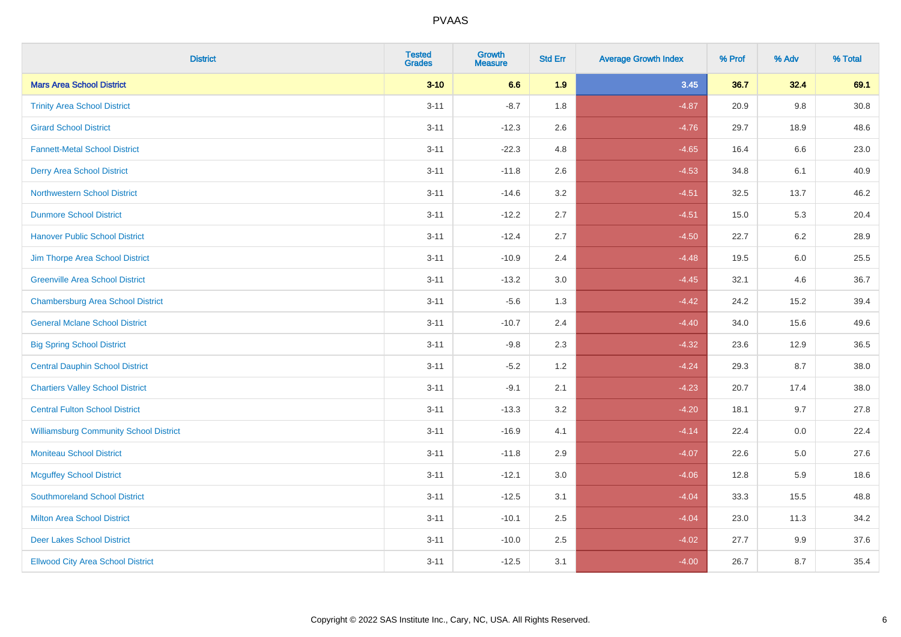| <b>District</b>                               | <b>Tested</b><br><b>Grades</b> | <b>Growth</b><br><b>Measure</b> | <b>Std Err</b> | <b>Average Growth Index</b> | % Prof | % Adv   | % Total  |
|-----------------------------------------------|--------------------------------|---------------------------------|----------------|-----------------------------|--------|---------|----------|
| <b>Mars Area School District</b>              | $3 - 10$                       | 6.6                             | 1.9            | 3.45                        | 36.7   | 32.4    | 69.1     |
| <b>Trinity Area School District</b>           | $3 - 11$                       | $-8.7$                          | 1.8            | $-4.87$                     | 20.9   | $9.8\,$ | $30.8\,$ |
| <b>Girard School District</b>                 | $3 - 11$                       | $-12.3$                         | 2.6            | $-4.76$                     | 29.7   | 18.9    | 48.6     |
| <b>Fannett-Metal School District</b>          | $3 - 11$                       | $-22.3$                         | 4.8            | $-4.65$                     | 16.4   | 6.6     | 23.0     |
| <b>Derry Area School District</b>             | $3 - 11$                       | $-11.8$                         | 2.6            | $-4.53$                     | 34.8   | 6.1     | 40.9     |
| <b>Northwestern School District</b>           | $3 - 11$                       | $-14.6$                         | 3.2            | $-4.51$                     | 32.5   | 13.7    | 46.2     |
| <b>Dunmore School District</b>                | $3 - 11$                       | $-12.2$                         | 2.7            | $-4.51$                     | 15.0   | 5.3     | 20.4     |
| <b>Hanover Public School District</b>         | $3 - 11$                       | $-12.4$                         | 2.7            | $-4.50$                     | 22.7   | 6.2     | 28.9     |
| Jim Thorpe Area School District               | $3 - 11$                       | $-10.9$                         | 2.4            | $-4.48$                     | 19.5   | 6.0     | 25.5     |
| <b>Greenville Area School District</b>        | $3 - 11$                       | $-13.2$                         | 3.0            | $-4.45$                     | 32.1   | 4.6     | 36.7     |
| <b>Chambersburg Area School District</b>      | $3 - 11$                       | $-5.6$                          | 1.3            | $-4.42$                     | 24.2   | 15.2    | 39.4     |
| <b>General Mclane School District</b>         | $3 - 11$                       | $-10.7$                         | 2.4            | $-4.40$                     | 34.0   | 15.6    | 49.6     |
| <b>Big Spring School District</b>             | $3 - 11$                       | $-9.8$                          | 2.3            | $-4.32$                     | 23.6   | 12.9    | 36.5     |
| <b>Central Dauphin School District</b>        | $3 - 11$                       | $-5.2$                          | 1.2            | $-4.24$                     | 29.3   | 8.7     | 38.0     |
| <b>Chartiers Valley School District</b>       | $3 - 11$                       | $-9.1$                          | 2.1            | $-4.23$                     | 20.7   | 17.4    | 38.0     |
| <b>Central Fulton School District</b>         | $3 - 11$                       | $-13.3$                         | 3.2            | $-4.20$                     | 18.1   | 9.7     | 27.8     |
| <b>Williamsburg Community School District</b> | $3 - 11$                       | $-16.9$                         | 4.1            | $-4.14$                     | 22.4   | 0.0     | 22.4     |
| <b>Moniteau School District</b>               | $3 - 11$                       | $-11.8$                         | 2.9            | $-4.07$                     | 22.6   | 5.0     | 27.6     |
| <b>Mcguffey School District</b>               | $3 - 11$                       | $-12.1$                         | 3.0            | $-4.06$                     | 12.8   | 5.9     | 18.6     |
| <b>Southmoreland School District</b>          | $3 - 11$                       | $-12.5$                         | 3.1            | $-4.04$                     | 33.3   | 15.5    | 48.8     |
| <b>Milton Area School District</b>            | $3 - 11$                       | $-10.1$                         | 2.5            | $-4.04$                     | 23.0   | 11.3    | 34.2     |
| <b>Deer Lakes School District</b>             | $3 - 11$                       | $-10.0$                         | 2.5            | $-4.02$                     | 27.7   | 9.9     | 37.6     |
| <b>Ellwood City Area School District</b>      | $3 - 11$                       | $-12.5$                         | 3.1            | $-4.00$                     | 26.7   | 8.7     | 35.4     |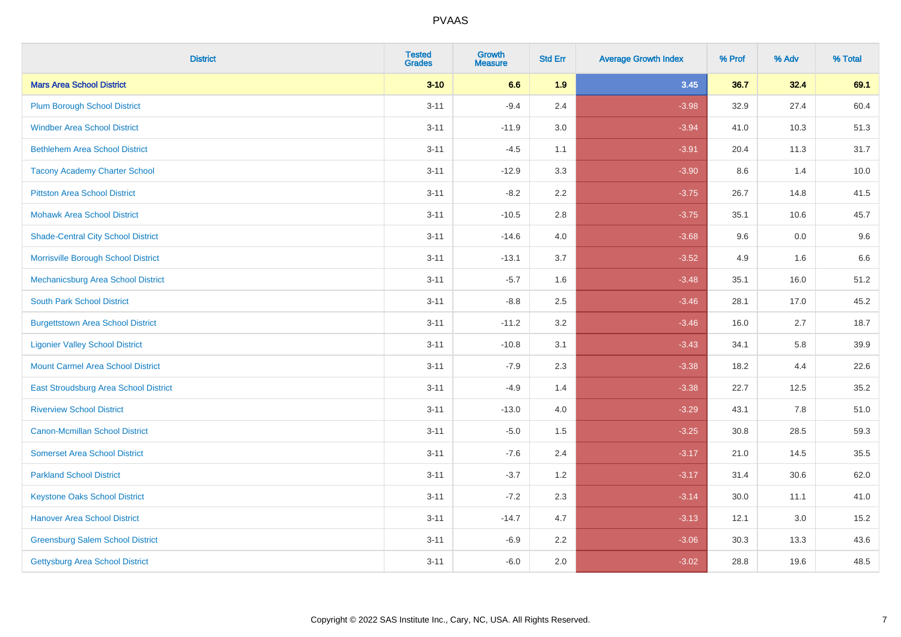| <b>District</b>                           | <b>Tested</b><br><b>Grades</b> | <b>Growth</b><br><b>Measure</b> | <b>Std Err</b> | <b>Average Growth Index</b> | % Prof | % Adv | % Total |
|-------------------------------------------|--------------------------------|---------------------------------|----------------|-----------------------------|--------|-------|---------|
| <b>Mars Area School District</b>          | $3 - 10$                       | 6.6                             | 1.9            | 3.45                        | 36.7   | 32.4  | 69.1    |
| <b>Plum Borough School District</b>       | $3 - 11$                       | $-9.4$                          | 2.4            | $-3.98$                     | 32.9   | 27.4  | 60.4    |
| <b>Windber Area School District</b>       | $3 - 11$                       | $-11.9$                         | 3.0            | $-3.94$                     | 41.0   | 10.3  | 51.3    |
| <b>Bethlehem Area School District</b>     | $3 - 11$                       | $-4.5$                          | 1.1            | $-3.91$                     | 20.4   | 11.3  | 31.7    |
| <b>Tacony Academy Charter School</b>      | $3 - 11$                       | $-12.9$                         | 3.3            | $-3.90$                     | 8.6    | 1.4   | 10.0    |
| <b>Pittston Area School District</b>      | $3 - 11$                       | $-8.2$                          | 2.2            | $-3.75$                     | 26.7   | 14.8  | 41.5    |
| <b>Mohawk Area School District</b>        | $3 - 11$                       | $-10.5$                         | 2.8            | $-3.75$                     | 35.1   | 10.6  | 45.7    |
| <b>Shade-Central City School District</b> | $3 - 11$                       | $-14.6$                         | 4.0            | $-3.68$                     | 9.6    | 0.0   | 9.6     |
| Morrisville Borough School District       | $3 - 11$                       | $-13.1$                         | 3.7            | $-3.52$                     | 4.9    | 1.6   | 6.6     |
| Mechanicsburg Area School District        | $3 - 11$                       | $-5.7$                          | 1.6            | $-3.48$                     | 35.1   | 16.0  | 51.2    |
| <b>South Park School District</b>         | $3 - 11$                       | $-8.8$                          | 2.5            | $-3.46$                     | 28.1   | 17.0  | 45.2    |
| <b>Burgettstown Area School District</b>  | $3 - 11$                       | $-11.2$                         | 3.2            | $-3.46$                     | 16.0   | 2.7   | 18.7    |
| <b>Ligonier Valley School District</b>    | $3 - 11$                       | $-10.8$                         | 3.1            | $-3.43$                     | 34.1   | 5.8   | 39.9    |
| <b>Mount Carmel Area School District</b>  | $3 - 11$                       | $-7.9$                          | 2.3            | $-3.38$                     | 18.2   | 4.4   | 22.6    |
| East Stroudsburg Area School District     | $3 - 11$                       | $-4.9$                          | 1.4            | $-3.38$                     | 22.7   | 12.5  | 35.2    |
| <b>Riverview School District</b>          | $3 - 11$                       | $-13.0$                         | 4.0            | $-3.29$                     | 43.1   | 7.8   | 51.0    |
| <b>Canon-Mcmillan School District</b>     | $3 - 11$                       | $-5.0$                          | 1.5            | $-3.25$                     | 30.8   | 28.5  | 59.3    |
| <b>Somerset Area School District</b>      | $3 - 11$                       | $-7.6$                          | 2.4            | $-3.17$                     | 21.0   | 14.5  | 35.5    |
| <b>Parkland School District</b>           | $3 - 11$                       | $-3.7$                          | 1.2            | $-3.17$                     | 31.4   | 30.6  | 62.0    |
| <b>Keystone Oaks School District</b>      | $3 - 11$                       | $-7.2$                          | 2.3            | $-3.14$                     | 30.0   | 11.1  | 41.0    |
| <b>Hanover Area School District</b>       | $3 - 11$                       | $-14.7$                         | 4.7            | $-3.13$                     | 12.1   | 3.0   | 15.2    |
| <b>Greensburg Salem School District</b>   | $3 - 11$                       | $-6.9$                          | 2.2            | $-3.06$                     | 30.3   | 13.3  | 43.6    |
| <b>Gettysburg Area School District</b>    | $3 - 11$                       | $-6.0$                          | 2.0            | $-3.02$                     | 28.8   | 19.6  | 48.5    |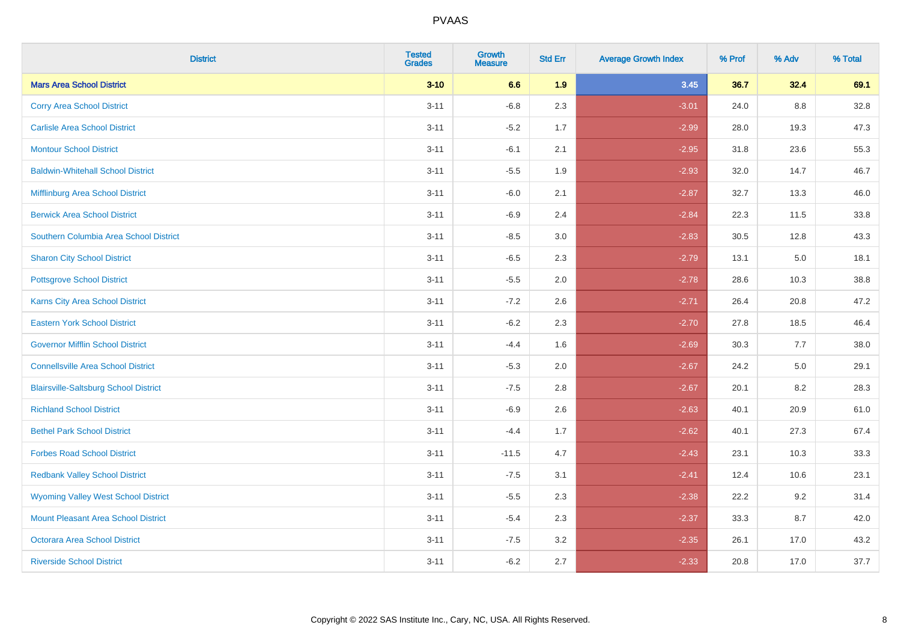| <b>District</b>                              | <b>Tested</b><br><b>Grades</b> | <b>Growth</b><br><b>Measure</b> | <b>Std Err</b> | <b>Average Growth Index</b> | % Prof | % Adv   | % Total |
|----------------------------------------------|--------------------------------|---------------------------------|----------------|-----------------------------|--------|---------|---------|
| <b>Mars Area School District</b>             | $3 - 10$                       | 6.6                             | 1.9            | 3.45                        | 36.7   | 32.4    | 69.1    |
| <b>Corry Area School District</b>            | $3 - 11$                       | $-6.8$                          | 2.3            | $-3.01$                     | 24.0   | 8.8     | 32.8    |
| <b>Carlisle Area School District</b>         | $3 - 11$                       | $-5.2$                          | 1.7            | $-2.99$                     | 28.0   | 19.3    | 47.3    |
| <b>Montour School District</b>               | $3 - 11$                       | $-6.1$                          | 2.1            | $-2.95$                     | 31.8   | 23.6    | 55.3    |
| <b>Baldwin-Whitehall School District</b>     | $3 - 11$                       | $-5.5$                          | 1.9            | $-2.93$                     | 32.0   | 14.7    | 46.7    |
| Mifflinburg Area School District             | $3 - 11$                       | $-6.0$                          | 2.1            | $-2.87$                     | 32.7   | 13.3    | 46.0    |
| <b>Berwick Area School District</b>          | $3 - 11$                       | $-6.9$                          | 2.4            | $-2.84$                     | 22.3   | 11.5    | 33.8    |
| Southern Columbia Area School District       | $3 - 11$                       | $-8.5$                          | 3.0            | $-2.83$                     | 30.5   | 12.8    | 43.3    |
| <b>Sharon City School District</b>           | $3 - 11$                       | $-6.5$                          | 2.3            | $-2.79$                     | 13.1   | 5.0     | 18.1    |
| <b>Pottsgrove School District</b>            | $3 - 11$                       | $-5.5$                          | 2.0            | $-2.78$                     | 28.6   | 10.3    | 38.8    |
| <b>Karns City Area School District</b>       | $3 - 11$                       | $-7.2$                          | 2.6            | $-2.71$                     | 26.4   | 20.8    | 47.2    |
| <b>Eastern York School District</b>          | $3 - 11$                       | $-6.2$                          | 2.3            | $-2.70$                     | 27.8   | 18.5    | 46.4    |
| <b>Governor Mifflin School District</b>      | $3 - 11$                       | $-4.4$                          | 1.6            | $-2.69$                     | 30.3   | 7.7     | 38.0    |
| <b>Connellsville Area School District</b>    | $3 - 11$                       | $-5.3$                          | 2.0            | $-2.67$                     | 24.2   | $5.0\,$ | 29.1    |
| <b>Blairsville-Saltsburg School District</b> | $3 - 11$                       | $-7.5$                          | 2.8            | $-2.67$                     | 20.1   | 8.2     | 28.3    |
| <b>Richland School District</b>              | $3 - 11$                       | $-6.9$                          | 2.6            | $-2.63$                     | 40.1   | 20.9    | 61.0    |
| <b>Bethel Park School District</b>           | $3 - 11$                       | $-4.4$                          | 1.7            | $-2.62$                     | 40.1   | 27.3    | 67.4    |
| <b>Forbes Road School District</b>           | $3 - 11$                       | $-11.5$                         | 4.7            | $-2.43$                     | 23.1   | 10.3    | 33.3    |
| <b>Redbank Valley School District</b>        | $3 - 11$                       | $-7.5$                          | 3.1            | $-2.41$                     | 12.4   | 10.6    | 23.1    |
| <b>Wyoming Valley West School District</b>   | $3 - 11$                       | $-5.5$                          | 2.3            | $-2.38$                     | 22.2   | 9.2     | 31.4    |
| Mount Pleasant Area School District          | $3 - 11$                       | $-5.4$                          | 2.3            | $-2.37$                     | 33.3   | 8.7     | 42.0    |
| <b>Octorara Area School District</b>         | $3 - 11$                       | $-7.5$                          | 3.2            | $-2.35$                     | 26.1   | 17.0    | 43.2    |
| <b>Riverside School District</b>             | $3 - 11$                       | $-6.2$                          | 2.7            | $-2.33$                     | 20.8   | 17.0    | 37.7    |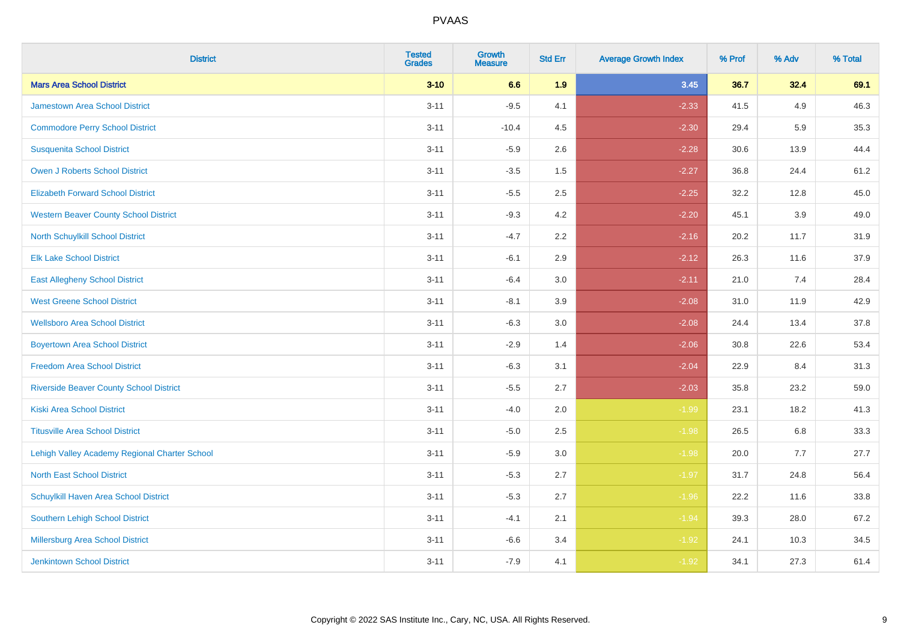| <b>District</b>                                | <b>Tested</b><br><b>Grades</b> | <b>Growth</b><br><b>Measure</b> | <b>Std Err</b> | <b>Average Growth Index</b> | % Prof | % Adv | % Total |
|------------------------------------------------|--------------------------------|---------------------------------|----------------|-----------------------------|--------|-------|---------|
| <b>Mars Area School District</b>               | $3 - 10$                       | 6.6                             | 1.9            | 3.45                        | 36.7   | 32.4  | 69.1    |
| <b>Jamestown Area School District</b>          | $3 - 11$                       | $-9.5$                          | 4.1            | $-2.33$                     | 41.5   | 4.9   | 46.3    |
| <b>Commodore Perry School District</b>         | $3 - 11$                       | $-10.4$                         | 4.5            | $-2.30$                     | 29.4   | 5.9   | 35.3    |
| <b>Susquenita School District</b>              | $3 - 11$                       | $-5.9$                          | 2.6            | $-2.28$                     | 30.6   | 13.9  | 44.4    |
| Owen J Roberts School District                 | $3 - 11$                       | $-3.5$                          | 1.5            | $-2.27$                     | 36.8   | 24.4  | 61.2    |
| <b>Elizabeth Forward School District</b>       | $3 - 11$                       | $-5.5$                          | 2.5            | $-2.25$                     | 32.2   | 12.8  | 45.0    |
| <b>Western Beaver County School District</b>   | $3 - 11$                       | $-9.3$                          | 4.2            | $-2.20$                     | 45.1   | 3.9   | 49.0    |
| North Schuylkill School District               | $3 - 11$                       | $-4.7$                          | 2.2            | $-2.16$                     | 20.2   | 11.7  | 31.9    |
| <b>Elk Lake School District</b>                | $3 - 11$                       | $-6.1$                          | 2.9            | $-2.12$                     | 26.3   | 11.6  | 37.9    |
| <b>East Allegheny School District</b>          | $3 - 11$                       | $-6.4$                          | 3.0            | $-2.11$                     | 21.0   | 7.4   | 28.4    |
| <b>West Greene School District</b>             | $3 - 11$                       | $-8.1$                          | 3.9            | $-2.08$                     | 31.0   | 11.9  | 42.9    |
| <b>Wellsboro Area School District</b>          | $3 - 11$                       | $-6.3$                          | 3.0            | $-2.08$                     | 24.4   | 13.4  | 37.8    |
| <b>Boyertown Area School District</b>          | $3 - 11$                       | $-2.9$                          | 1.4            | $-2.06$                     | 30.8   | 22.6  | 53.4    |
| <b>Freedom Area School District</b>            | $3 - 11$                       | $-6.3$                          | 3.1            | $-2.04$                     | 22.9   | 8.4   | 31.3    |
| <b>Riverside Beaver County School District</b> | $3 - 11$                       | $-5.5$                          | 2.7            | $-2.03$                     | 35.8   | 23.2  | 59.0    |
| <b>Kiski Area School District</b>              | $3 - 11$                       | $-4.0$                          | 2.0            | $-1.99$                     | 23.1   | 18.2  | 41.3    |
| <b>Titusville Area School District</b>         | $3 - 11$                       | $-5.0$                          | 2.5            | $-1.98$                     | 26.5   | 6.8   | 33.3    |
| Lehigh Valley Academy Regional Charter School  | $3 - 11$                       | $-5.9$                          | 3.0            | $-1.98$                     | 20.0   | 7.7   | 27.7    |
| <b>North East School District</b>              | $3 - 11$                       | $-5.3$                          | 2.7            | $-1.97$                     | 31.7   | 24.8  | 56.4    |
| Schuylkill Haven Area School District          | $3 - 11$                       | $-5.3$                          | 2.7            | $-1.96$                     | 22.2   | 11.6  | 33.8    |
| <b>Southern Lehigh School District</b>         | $3 - 11$                       | $-4.1$                          | 2.1            | $-1.94$                     | 39.3   | 28.0  | 67.2    |
| Millersburg Area School District               | $3 - 11$                       | $-6.6$                          | 3.4            | $-1.92$                     | 24.1   | 10.3  | 34.5    |
| <b>Jenkintown School District</b>              | $3 - 11$                       | $-7.9$                          | 4.1            | $-1.92$                     | 34.1   | 27.3  | 61.4    |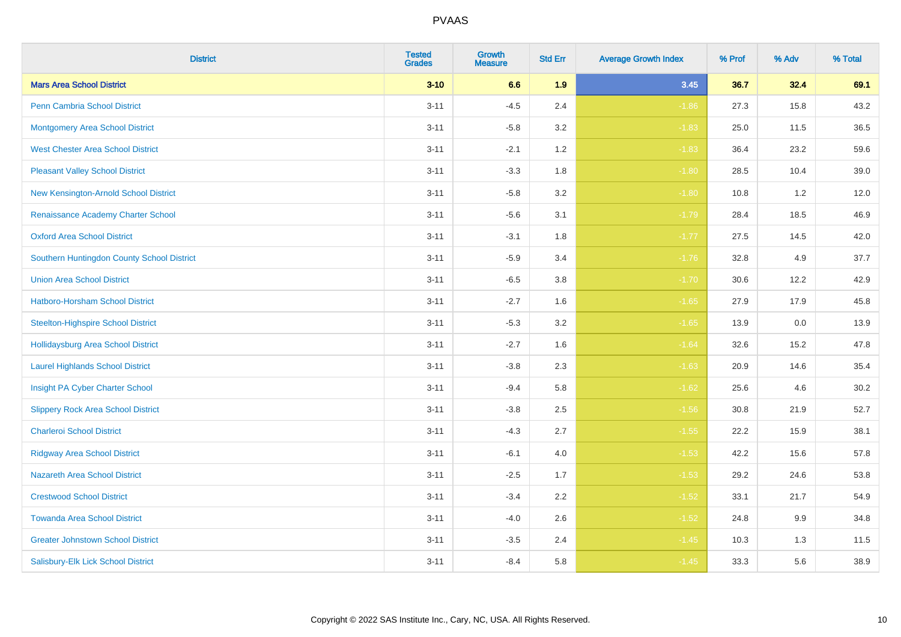| <b>District</b>                            | <b>Tested</b><br><b>Grades</b> | <b>Growth</b><br><b>Measure</b> | <b>Std Err</b> | <b>Average Growth Index</b> | % Prof | % Adv | % Total |
|--------------------------------------------|--------------------------------|---------------------------------|----------------|-----------------------------|--------|-------|---------|
| <b>Mars Area School District</b>           | $3 - 10$                       | 6.6                             | 1.9            | 3.45                        | 36.7   | 32.4  | 69.1    |
| <b>Penn Cambria School District</b>        | $3 - 11$                       | $-4.5$                          | 2.4            | $-1.86$                     | 27.3   | 15.8  | 43.2    |
| <b>Montgomery Area School District</b>     | $3 - 11$                       | $-5.8$                          | 3.2            | $-1.83$                     | 25.0   | 11.5  | 36.5    |
| <b>West Chester Area School District</b>   | $3 - 11$                       | $-2.1$                          | 1.2            | $-1.83$                     | 36.4   | 23.2  | 59.6    |
| <b>Pleasant Valley School District</b>     | $3 - 11$                       | $-3.3$                          | 1.8            | $-1.80$                     | 28.5   | 10.4  | 39.0    |
| New Kensington-Arnold School District      | $3 - 11$                       | $-5.8$                          | 3.2            | $-1.80$                     | 10.8   | 1.2   | 12.0    |
| Renaissance Academy Charter School         | $3 - 11$                       | $-5.6$                          | 3.1            | $-1.79$                     | 28.4   | 18.5  | 46.9    |
| <b>Oxford Area School District</b>         | $3 - 11$                       | $-3.1$                          | 1.8            | $-1.77$                     | 27.5   | 14.5  | 42.0    |
| Southern Huntingdon County School District | $3 - 11$                       | $-5.9$                          | 3.4            | $-1.76$                     | 32.8   | 4.9   | 37.7    |
| <b>Union Area School District</b>          | $3 - 11$                       | $-6.5$                          | 3.8            | $-1.70$                     | 30.6   | 12.2  | 42.9    |
| Hatboro-Horsham School District            | $3 - 11$                       | $-2.7$                          | 1.6            | $-1.65$                     | 27.9   | 17.9  | 45.8    |
| <b>Steelton-Highspire School District</b>  | $3 - 11$                       | $-5.3$                          | 3.2            | $-1.65$                     | 13.9   | 0.0   | 13.9    |
| <b>Hollidaysburg Area School District</b>  | $3 - 11$                       | $-2.7$                          | 1.6            | $-1.64$                     | 32.6   | 15.2  | 47.8    |
| <b>Laurel Highlands School District</b>    | $3 - 11$                       | $-3.8$                          | 2.3            | $-1.63$                     | 20.9   | 14.6  | 35.4    |
| Insight PA Cyber Charter School            | $3 - 11$                       | $-9.4$                          | 5.8            | $-1.62$                     | 25.6   | 4.6   | 30.2    |
| <b>Slippery Rock Area School District</b>  | $3 - 11$                       | $-3.8$                          | 2.5            | $-1.56$                     | 30.8   | 21.9  | 52.7    |
| <b>Charleroi School District</b>           | $3 - 11$                       | $-4.3$                          | 2.7            | $-1.55$                     | 22.2   | 15.9  | 38.1    |
| <b>Ridgway Area School District</b>        | $3 - 11$                       | $-6.1$                          | 4.0            | $-1.53$                     | 42.2   | 15.6  | 57.8    |
| <b>Nazareth Area School District</b>       | $3 - 11$                       | $-2.5$                          | 1.7            | $-1.53$                     | 29.2   | 24.6  | 53.8    |
| <b>Crestwood School District</b>           | $3 - 11$                       | $-3.4$                          | 2.2            | $-1.52$                     | 33.1   | 21.7  | 54.9    |
| <b>Towanda Area School District</b>        | $3 - 11$                       | $-4.0$                          | 2.6            | $-1.52$                     | 24.8   | 9.9   | 34.8    |
| <b>Greater Johnstown School District</b>   | $3 - 11$                       | $-3.5$                          | 2.4            | $-1.45$                     | 10.3   | 1.3   | 11.5    |
| Salisbury-Elk Lick School District         | $3 - 11$                       | $-8.4$                          | 5.8            | $-1.45$                     | 33.3   | 5.6   | 38.9    |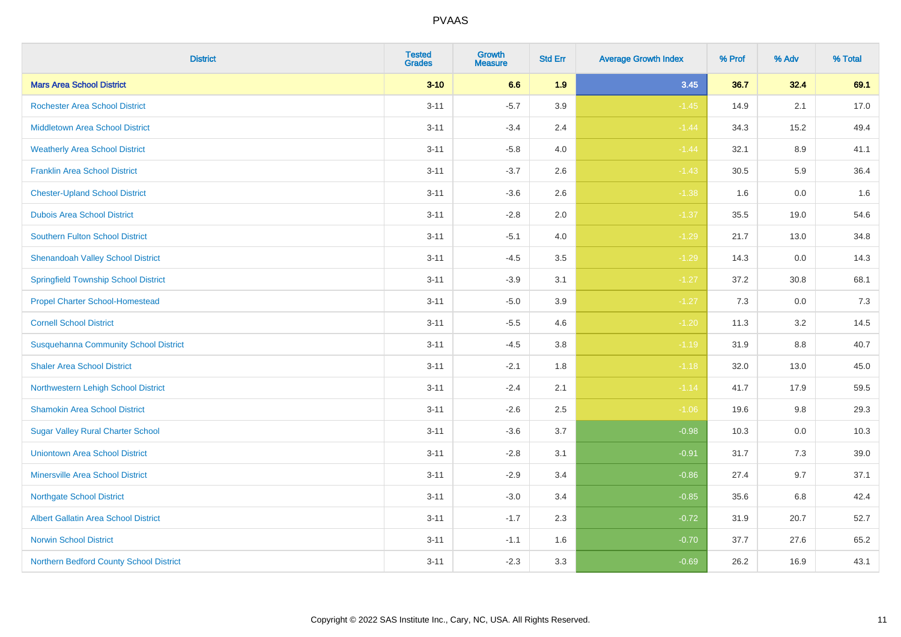| <b>District</b>                              | <b>Tested</b><br><b>Grades</b> | <b>Growth</b><br><b>Measure</b> | <b>Std Err</b> | <b>Average Growth Index</b> | % Prof | % Adv   | % Total |
|----------------------------------------------|--------------------------------|---------------------------------|----------------|-----------------------------|--------|---------|---------|
| <b>Mars Area School District</b>             | $3 - 10$                       | 6.6                             | 1.9            | 3.45                        | 36.7   | 32.4    | 69.1    |
| <b>Rochester Area School District</b>        | $3 - 11$                       | $-5.7$                          | 3.9            | $-1.45$                     | 14.9   | 2.1     | 17.0    |
| <b>Middletown Area School District</b>       | $3 - 11$                       | $-3.4$                          | 2.4            | $-1.44$                     | 34.3   | 15.2    | 49.4    |
| <b>Weatherly Area School District</b>        | $3 - 11$                       | $-5.8$                          | 4.0            | $-1.44$                     | 32.1   | $8.9\,$ | 41.1    |
| <b>Franklin Area School District</b>         | $3 - 11$                       | $-3.7$                          | 2.6            | $-1.43$                     | 30.5   | 5.9     | 36.4    |
| <b>Chester-Upland School District</b>        | $3 - 11$                       | $-3.6$                          | 2.6            | $-1.38$                     | 1.6    | 0.0     | 1.6     |
| <b>Dubois Area School District</b>           | $3 - 11$                       | $-2.8$                          | 2.0            | $-1.37$                     | 35.5   | 19.0    | 54.6    |
| <b>Southern Fulton School District</b>       | $3 - 11$                       | $-5.1$                          | 4.0            | $-1.29$                     | 21.7   | 13.0    | 34.8    |
| <b>Shenandoah Valley School District</b>     | $3 - 11$                       | $-4.5$                          | 3.5            | $-1.29$                     | 14.3   | 0.0     | 14.3    |
| <b>Springfield Township School District</b>  | $3 - 11$                       | $-3.9$                          | 3.1            | $-1.27$                     | 37.2   | 30.8    | 68.1    |
| <b>Propel Charter School-Homestead</b>       | $3 - 11$                       | $-5.0$                          | 3.9            | $-1.27$                     | 7.3    | 0.0     | 7.3     |
| <b>Cornell School District</b>               | $3 - 11$                       | $-5.5$                          | 4.6            | $-1.20$                     | 11.3   | 3.2     | 14.5    |
| <b>Susquehanna Community School District</b> | $3 - 11$                       | $-4.5$                          | 3.8            | $-1.19$                     | 31.9   | $8.8\,$ | 40.7    |
| <b>Shaler Area School District</b>           | $3 - 11$                       | $-2.1$                          | 1.8            | $-1.18$                     | 32.0   | 13.0    | 45.0    |
| Northwestern Lehigh School District          | $3 - 11$                       | $-2.4$                          | 2.1            | $-1.14$                     | 41.7   | 17.9    | 59.5    |
| <b>Shamokin Area School District</b>         | $3 - 11$                       | $-2.6$                          | 2.5            | $-1.06$                     | 19.6   | 9.8     | 29.3    |
| <b>Sugar Valley Rural Charter School</b>     | $3 - 11$                       | $-3.6$                          | 3.7            | $-0.98$                     | 10.3   | 0.0     | 10.3    |
| <b>Uniontown Area School District</b>        | $3 - 11$                       | $-2.8$                          | 3.1            | $-0.91$                     | 31.7   | 7.3     | 39.0    |
| <b>Minersville Area School District</b>      | $3 - 11$                       | $-2.9$                          | 3.4            | $-0.86$                     | 27.4   | 9.7     | 37.1    |
| <b>Northgate School District</b>             | $3 - 11$                       | $-3.0$                          | 3.4            | $-0.85$                     | 35.6   | 6.8     | 42.4    |
| Albert Gallatin Area School District         | $3 - 11$                       | $-1.7$                          | 2.3            | $-0.72$                     | 31.9   | 20.7    | 52.7    |
| <b>Norwin School District</b>                | $3 - 11$                       | $-1.1$                          | 1.6            | $-0.70$                     | 37.7   | 27.6    | 65.2    |
| Northern Bedford County School District      | $3 - 11$                       | $-2.3$                          | 3.3            | $-0.69$                     | 26.2   | 16.9    | 43.1    |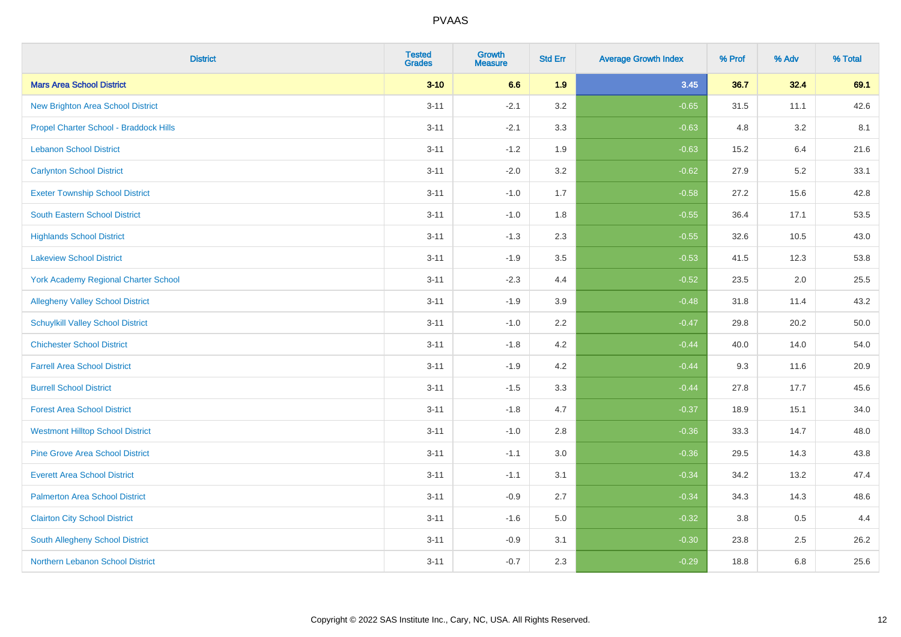| <b>District</b>                             | <b>Tested</b><br><b>Grades</b> | <b>Growth</b><br><b>Measure</b> | <b>Std Err</b> | <b>Average Growth Index</b> | % Prof | % Adv | % Total |
|---------------------------------------------|--------------------------------|---------------------------------|----------------|-----------------------------|--------|-------|---------|
| <b>Mars Area School District</b>            | $3 - 10$                       | 6.6                             | 1.9            | 3.45                        | 36.7   | 32.4  | 69.1    |
| <b>New Brighton Area School District</b>    | $3 - 11$                       | $-2.1$                          | 3.2            | $-0.65$                     | 31.5   | 11.1  | 42.6    |
| Propel Charter School - Braddock Hills      | $3 - 11$                       | $-2.1$                          | 3.3            | $-0.63$                     | 4.8    | 3.2   | 8.1     |
| <b>Lebanon School District</b>              | $3 - 11$                       | $-1.2$                          | 1.9            | $-0.63$                     | 15.2   | 6.4   | 21.6    |
| <b>Carlynton School District</b>            | $3 - 11$                       | $-2.0$                          | 3.2            | $-0.62$                     | 27.9   | 5.2   | 33.1    |
| <b>Exeter Township School District</b>      | $3 - 11$                       | $-1.0$                          | 1.7            | $-0.58$                     | 27.2   | 15.6  | 42.8    |
| South Eastern School District               | $3 - 11$                       | $-1.0$                          | 1.8            | $-0.55$                     | 36.4   | 17.1  | 53.5    |
| <b>Highlands School District</b>            | $3 - 11$                       | $-1.3$                          | 2.3            | $-0.55$                     | 32.6   | 10.5  | 43.0    |
| <b>Lakeview School District</b>             | $3 - 11$                       | $-1.9$                          | 3.5            | $-0.53$                     | 41.5   | 12.3  | 53.8    |
| <b>York Academy Regional Charter School</b> | $3 - 11$                       | $-2.3$                          | 4.4            | $-0.52$                     | 23.5   | 2.0   | 25.5    |
| <b>Allegheny Valley School District</b>     | $3 - 11$                       | $-1.9$                          | 3.9            | $-0.48$                     | 31.8   | 11.4  | 43.2    |
| <b>Schuylkill Valley School District</b>    | $3 - 11$                       | $-1.0$                          | 2.2            | $-0.47$                     | 29.8   | 20.2  | 50.0    |
| <b>Chichester School District</b>           | $3 - 11$                       | $-1.8$                          | 4.2            | $-0.44$                     | 40.0   | 14.0  | 54.0    |
| <b>Farrell Area School District</b>         | $3 - 11$                       | $-1.9$                          | 4.2            | $-0.44$                     | 9.3    | 11.6  | 20.9    |
| <b>Burrell School District</b>              | $3 - 11$                       | $-1.5$                          | 3.3            | $-0.44$                     | 27.8   | 17.7  | 45.6    |
| <b>Forest Area School District</b>          | $3 - 11$                       | $-1.8$                          | 4.7            | $-0.37$                     | 18.9   | 15.1  | 34.0    |
| <b>Westmont Hilltop School District</b>     | $3 - 11$                       | $-1.0$                          | 2.8            | $-0.36$                     | 33.3   | 14.7  | 48.0    |
| <b>Pine Grove Area School District</b>      | $3 - 11$                       | $-1.1$                          | 3.0            | $-0.36$                     | 29.5   | 14.3  | 43.8    |
| <b>Everett Area School District</b>         | $3 - 11$                       | $-1.1$                          | 3.1            | $-0.34$                     | 34.2   | 13.2  | 47.4    |
| <b>Palmerton Area School District</b>       | $3 - 11$                       | $-0.9$                          | 2.7            | $-0.34$                     | 34.3   | 14.3  | 48.6    |
| <b>Clairton City School District</b>        | $3 - 11$                       | $-1.6$                          | 5.0            | $-0.32$                     | 3.8    | 0.5   | 4.4     |
| <b>South Allegheny School District</b>      | $3 - 11$                       | $-0.9$                          | 3.1            | $-0.30$                     | 23.8   | 2.5   | 26.2    |
| Northern Lebanon School District            | $3 - 11$                       | $-0.7$                          | 2.3            | $-0.29$                     | 18.8   | 6.8   | 25.6    |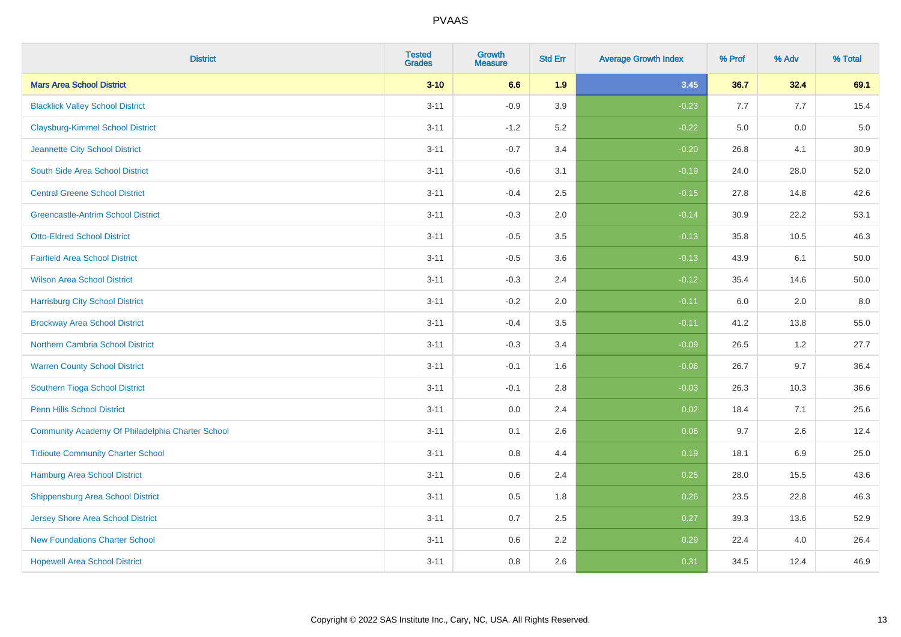| <b>District</b>                                  | <b>Tested</b><br><b>Grades</b> | <b>Growth</b><br><b>Measure</b> | <b>Std Err</b> | <b>Average Growth Index</b> | % Prof | % Adv   | % Total |
|--------------------------------------------------|--------------------------------|---------------------------------|----------------|-----------------------------|--------|---------|---------|
| <b>Mars Area School District</b>                 | $3 - 10$                       | 6.6                             | 1.9            | 3.45                        | 36.7   | 32.4    | 69.1    |
| <b>Blacklick Valley School District</b>          | $3 - 11$                       | $-0.9$                          | 3.9            | $-0.23$                     | 7.7    | 7.7     | 15.4    |
| <b>Claysburg-Kimmel School District</b>          | $3 - 11$                       | $-1.2$                          | 5.2            | $-0.22$                     | 5.0    | 0.0     | $5.0$   |
| Jeannette City School District                   | $3 - 11$                       | $-0.7$                          | 3.4            | $-0.20$                     | 26.8   | 4.1     | 30.9    |
| South Side Area School District                  | $3 - 11$                       | $-0.6$                          | 3.1            | $-0.19$                     | 24.0   | 28.0    | 52.0    |
| <b>Central Greene School District</b>            | $3 - 11$                       | $-0.4$                          | 2.5            | $-0.15$                     | 27.8   | 14.8    | 42.6    |
| <b>Greencastle-Antrim School District</b>        | $3 - 11$                       | $-0.3$                          | 2.0            | $-0.14$                     | 30.9   | 22.2    | 53.1    |
| <b>Otto-Eldred School District</b>               | $3 - 11$                       | $-0.5$                          | 3.5            | $-0.13$                     | 35.8   | 10.5    | 46.3    |
| <b>Fairfield Area School District</b>            | $3 - 11$                       | $-0.5$                          | 3.6            | $-0.13$                     | 43.9   | 6.1     | 50.0    |
| <b>Wilson Area School District</b>               | $3 - 11$                       | $-0.3$                          | 2.4            | $-0.12$                     | 35.4   | 14.6    | 50.0    |
| <b>Harrisburg City School District</b>           | $3 - 11$                       | $-0.2$                          | 2.0            | $-0.11$                     | 6.0    | 2.0     | 8.0     |
| <b>Brockway Area School District</b>             | $3 - 11$                       | $-0.4$                          | 3.5            | $-0.11$                     | 41.2   | 13.8    | 55.0    |
| Northern Cambria School District                 | $3 - 11$                       | $-0.3$                          | 3.4            | $-0.09$                     | 26.5   | $1.2\,$ | 27.7    |
| <b>Warren County School District</b>             | $3 - 11$                       | $-0.1$                          | 1.6            | $-0.06$                     | 26.7   | 9.7     | 36.4    |
| Southern Tioga School District                   | $3 - 11$                       | $-0.1$                          | 2.8            | $-0.03$                     | 26.3   | 10.3    | 36.6    |
| <b>Penn Hills School District</b>                | $3 - 11$                       | 0.0                             | 2.4            | 0.02                        | 18.4   | 7.1     | 25.6    |
| Community Academy Of Philadelphia Charter School | $3 - 11$                       | 0.1                             | 2.6            | 0.06                        | 9.7    | 2.6     | 12.4    |
| <b>Tidioute Community Charter School</b>         | $3 - 11$                       | 0.8                             | 4.4            | 0.19                        | 18.1   | 6.9     | 25.0    |
| Hamburg Area School District                     | $3 - 11$                       | 0.6                             | 2.4            | 0.25                        | 28.0   | 15.5    | 43.6    |
| <b>Shippensburg Area School District</b>         | $3 - 11$                       | 0.5                             | 1.8            | 0.26                        | 23.5   | 22.8    | 46.3    |
| Jersey Shore Area School District                | $3 - 11$                       | 0.7                             | 2.5            | 0.27                        | 39.3   | 13.6    | 52.9    |
| <b>New Foundations Charter School</b>            | $3 - 11$                       | 0.6                             | 2.2            | 0.29                        | 22.4   | 4.0     | 26.4    |
| <b>Hopewell Area School District</b>             | $3 - 11$                       | 0.8                             | 2.6            | 0.31                        | 34.5   | 12.4    | 46.9    |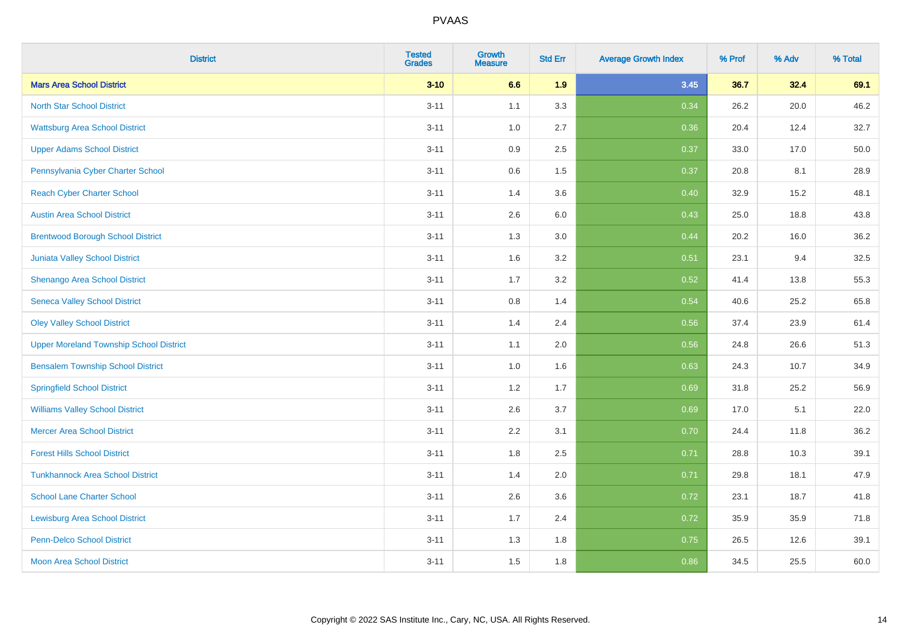| <b>District</b>                                | <b>Tested</b><br><b>Grades</b> | <b>Growth</b><br><b>Measure</b> | <b>Std Err</b> | <b>Average Growth Index</b> | % Prof | % Adv | % Total |
|------------------------------------------------|--------------------------------|---------------------------------|----------------|-----------------------------|--------|-------|---------|
| <b>Mars Area School District</b>               | $3 - 10$                       | 6.6                             | 1.9            | 3.45                        | 36.7   | 32.4  | 69.1    |
| <b>North Star School District</b>              | $3 - 11$                       | 1.1                             | 3.3            | 0.34                        | 26.2   | 20.0  | 46.2    |
| <b>Wattsburg Area School District</b>          | $3 - 11$                       | 1.0                             | 2.7            | 0.36                        | 20.4   | 12.4  | 32.7    |
| <b>Upper Adams School District</b>             | $3 - 11$                       | 0.9                             | 2.5            | 0.37                        | 33.0   | 17.0  | 50.0    |
| Pennsylvania Cyber Charter School              | $3 - 11$                       | 0.6                             | 1.5            | 0.37                        | 20.8   | 8.1   | 28.9    |
| <b>Reach Cyber Charter School</b>              | $3 - 11$                       | 1.4                             | 3.6            | 0.40                        | 32.9   | 15.2  | 48.1    |
| <b>Austin Area School District</b>             | $3 - 11$                       | 2.6                             | 6.0            | 0.43                        | 25.0   | 18.8  | 43.8    |
| <b>Brentwood Borough School District</b>       | $3 - 11$                       | 1.3                             | 3.0            | 0.44                        | 20.2   | 16.0  | 36.2    |
| Juniata Valley School District                 | $3 - 11$                       | 1.6                             | 3.2            | 0.51                        | 23.1   | 9.4   | 32.5    |
| Shenango Area School District                  | $3 - 11$                       | 1.7                             | 3.2            | 0.52                        | 41.4   | 13.8  | 55.3    |
| <b>Seneca Valley School District</b>           | $3 - 11$                       | 0.8                             | 1.4            | 0.54                        | 40.6   | 25.2  | 65.8    |
| <b>Oley Valley School District</b>             | $3 - 11$                       | 1.4                             | 2.4            | 0.56                        | 37.4   | 23.9  | 61.4    |
| <b>Upper Moreland Township School District</b> | $3 - 11$                       | 1.1                             | 2.0            | 0.56                        | 24.8   | 26.6  | 51.3    |
| <b>Bensalem Township School District</b>       | $3 - 11$                       | 1.0                             | 1.6            | 0.63                        | 24.3   | 10.7  | 34.9    |
| <b>Springfield School District</b>             | $3 - 11$                       | 1.2                             | 1.7            | 0.69                        | 31.8   | 25.2  | 56.9    |
| <b>Williams Valley School District</b>         | $3 - 11$                       | 2.6                             | 3.7            | 0.69                        | 17.0   | 5.1   | 22.0    |
| <b>Mercer Area School District</b>             | $3 - 11$                       | $2.2\,$                         | 3.1            | 0.70                        | 24.4   | 11.8  | 36.2    |
| <b>Forest Hills School District</b>            | $3 - 11$                       | 1.8                             | 2.5            | 0.71                        | 28.8   | 10.3  | 39.1    |
| <b>Tunkhannock Area School District</b>        | $3 - 11$                       | 1.4                             | 2.0            | 0.71                        | 29.8   | 18.1  | 47.9    |
| <b>School Lane Charter School</b>              | $3 - 11$                       | 2.6                             | 3.6            | 0.72                        | 23.1   | 18.7  | 41.8    |
| <b>Lewisburg Area School District</b>          | $3 - 11$                       | 1.7                             | 2.4            | 0.72                        | 35.9   | 35.9  | 71.8    |
| <b>Penn-Delco School District</b>              | $3 - 11$                       | 1.3                             | 1.8            | 0.75                        | 26.5   | 12.6  | 39.1    |
| <b>Moon Area School District</b>               | $3 - 11$                       | 1.5                             | 1.8            | 0.86                        | 34.5   | 25.5  | 60.0    |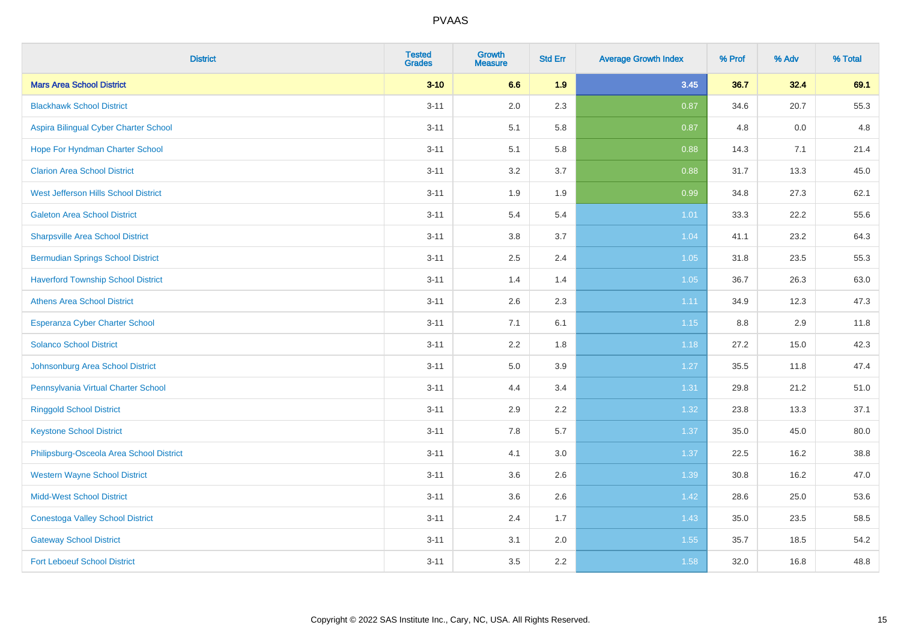| <b>District</b>                           | <b>Tested</b><br><b>Grades</b> | <b>Growth</b><br><b>Measure</b> | <b>Std Err</b> | <b>Average Growth Index</b> | % Prof | % Adv | % Total |
|-------------------------------------------|--------------------------------|---------------------------------|----------------|-----------------------------|--------|-------|---------|
| <b>Mars Area School District</b>          | $3 - 10$                       | 6.6                             | 1.9            | 3.45                        | 36.7   | 32.4  | 69.1    |
| <b>Blackhawk School District</b>          | $3 - 11$                       | 2.0                             | 2.3            | 0.87                        | 34.6   | 20.7  | 55.3    |
| Aspira Bilingual Cyber Charter School     | $3 - 11$                       | 5.1                             | 5.8            | 0.87                        | 4.8    | 0.0   | 4.8     |
| Hope For Hyndman Charter School           | $3 - 11$                       | 5.1                             | 5.8            | 0.88                        | 14.3   | 7.1   | 21.4    |
| <b>Clarion Area School District</b>       | $3 - 11$                       | 3.2                             | 3.7            | 0.88                        | 31.7   | 13.3  | 45.0    |
| West Jefferson Hills School District      | $3 - 11$                       | 1.9                             | 1.9            | 0.99                        | 34.8   | 27.3  | 62.1    |
| <b>Galeton Area School District</b>       | $3 - 11$                       | 5.4                             | 5.4            | $1.01$                      | 33.3   | 22.2  | 55.6    |
| <b>Sharpsville Area School District</b>   | $3 - 11$                       | 3.8                             | 3.7            | 1.04                        | 41.1   | 23.2  | 64.3    |
| <b>Bermudian Springs School District</b>  | $3 - 11$                       | 2.5                             | 2.4            | 1.05                        | 31.8   | 23.5  | 55.3    |
| <b>Haverford Township School District</b> | $3 - 11$                       | 1.4                             | 1.4            | 1.05                        | 36.7   | 26.3  | 63.0    |
| <b>Athens Area School District</b>        | $3 - 11$                       | 2.6                             | 2.3            | 1.11                        | 34.9   | 12.3  | 47.3    |
| <b>Esperanza Cyber Charter School</b>     | $3 - 11$                       | 7.1                             | 6.1            | 1.15                        | 8.8    | 2.9   | 11.8    |
| <b>Solanco School District</b>            | $3 - 11$                       | 2.2                             | 1.8            | 1.18                        | 27.2   | 15.0  | 42.3    |
| Johnsonburg Area School District          | $3 - 11$                       | $5.0\,$                         | 3.9            | 1.27                        | 35.5   | 11.8  | 47.4    |
| Pennsylvania Virtual Charter School       | $3 - 11$                       | 4.4                             | 3.4            | 1.31                        | 29.8   | 21.2  | 51.0    |
| <b>Ringgold School District</b>           | $3 - 11$                       | 2.9                             | 2.2            | 1.32                        | 23.8   | 13.3  | 37.1    |
| <b>Keystone School District</b>           | $3 - 11$                       | 7.8                             | 5.7            | 1.37                        | 35.0   | 45.0  | 80.0    |
| Philipsburg-Osceola Area School District  | $3 - 11$                       | 4.1                             | 3.0            | 1.37                        | 22.5   | 16.2  | 38.8    |
| <b>Western Wayne School District</b>      | $3 - 11$                       | 3.6                             | 2.6            | 1.39                        | 30.8   | 16.2  | 47.0    |
| <b>Midd-West School District</b>          | $3 - 11$                       | 3.6                             | 2.6            | 1.42                        | 28.6   | 25.0  | 53.6    |
| <b>Conestoga Valley School District</b>   | $3 - 11$                       | 2.4                             | 1.7            | 1.43                        | 35.0   | 23.5  | 58.5    |
| <b>Gateway School District</b>            | $3 - 11$                       | 3.1                             | 2.0            | 1.55                        | 35.7   | 18.5  | 54.2    |
| <b>Fort Leboeuf School District</b>       | $3 - 11$                       | 3.5                             | 2.2            | 1.58                        | 32.0   | 16.8  | 48.8    |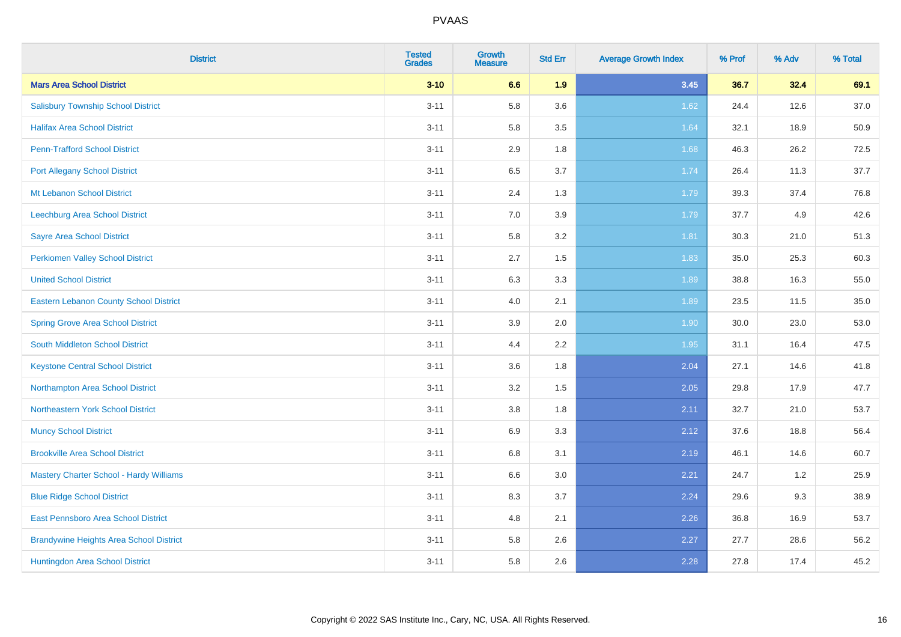| <b>District</b>                                | <b>Tested</b><br><b>Grades</b> | <b>Growth</b><br><b>Measure</b> | <b>Std Err</b> | <b>Average Growth Index</b> | % Prof | % Adv | % Total |
|------------------------------------------------|--------------------------------|---------------------------------|----------------|-----------------------------|--------|-------|---------|
| <b>Mars Area School District</b>               | $3 - 10$                       | 6.6                             | 1.9            | 3.45                        | 36.7   | 32.4  | 69.1    |
| <b>Salisbury Township School District</b>      | $3 - 11$                       | 5.8                             | 3.6            | 1.62                        | 24.4   | 12.6  | 37.0    |
| <b>Halifax Area School District</b>            | $3 - 11$                       | 5.8                             | 3.5            | 1.64                        | 32.1   | 18.9  | 50.9    |
| <b>Penn-Trafford School District</b>           | $3 - 11$                       | 2.9                             | 1.8            | 1.68                        | 46.3   | 26.2  | 72.5    |
| <b>Port Allegany School District</b>           | $3 - 11$                       | 6.5                             | 3.7            | 1.74                        | 26.4   | 11.3  | 37.7    |
| Mt Lebanon School District                     | $3 - 11$                       | 2.4                             | 1.3            | 1.79                        | 39.3   | 37.4  | 76.8    |
| Leechburg Area School District                 | $3 - 11$                       | 7.0                             | 3.9            | 1.79                        | 37.7   | 4.9   | 42.6    |
| <b>Sayre Area School District</b>              | $3 - 11$                       | 5.8                             | 3.2            | 1.81                        | 30.3   | 21.0  | 51.3    |
| Perkiomen Valley School District               | $3 - 11$                       | 2.7                             | 1.5            | 1.83                        | 35.0   | 25.3  | 60.3    |
| <b>United School District</b>                  | $3 - 11$                       | 6.3                             | 3.3            | 1.89                        | 38.8   | 16.3  | 55.0    |
| Eastern Lebanon County School District         | $3 - 11$                       | 4.0                             | 2.1            | 1.89                        | 23.5   | 11.5  | 35.0    |
| <b>Spring Grove Area School District</b>       | $3 - 11$                       | 3.9                             | 2.0            | 1.90                        | 30.0   | 23.0  | 53.0    |
| South Middleton School District                | $3 - 11$                       | 4.4                             | 2.2            | 1.95                        | 31.1   | 16.4  | 47.5    |
| <b>Keystone Central School District</b>        | $3 - 11$                       | 3.6                             | 1.8            | 2.04                        | 27.1   | 14.6  | 41.8    |
| Northampton Area School District               | $3 - 11$                       | 3.2                             | 1.5            | 2.05                        | 29.8   | 17.9  | 47.7    |
| Northeastern York School District              | $3 - 11$                       | $3.8\,$                         | 1.8            | 2.11                        | 32.7   | 21.0  | 53.7    |
| <b>Muncy School District</b>                   | $3 - 11$                       | 6.9                             | 3.3            | 2.12                        | 37.6   | 18.8  | 56.4    |
| <b>Brookville Area School District</b>         | $3 - 11$                       | 6.8                             | 3.1            | 2.19                        | 46.1   | 14.6  | 60.7    |
| <b>Mastery Charter School - Hardy Williams</b> | $3 - 11$                       | 6.6                             | 3.0            | 2.21                        | 24.7   | 1.2   | 25.9    |
| <b>Blue Ridge School District</b>              | $3 - 11$                       | 8.3                             | 3.7            | 2.24                        | 29.6   | 9.3   | 38.9    |
| East Pennsboro Area School District            | $3 - 11$                       | 4.8                             | 2.1            | 2.26                        | 36.8   | 16.9  | 53.7    |
| <b>Brandywine Heights Area School District</b> | $3 - 11$                       | 5.8                             | 2.6            | 2.27                        | 27.7   | 28.6  | 56.2    |
| Huntingdon Area School District                | $3 - 11$                       | 5.8                             | 2.6            | 2.28                        | 27.8   | 17.4  | 45.2    |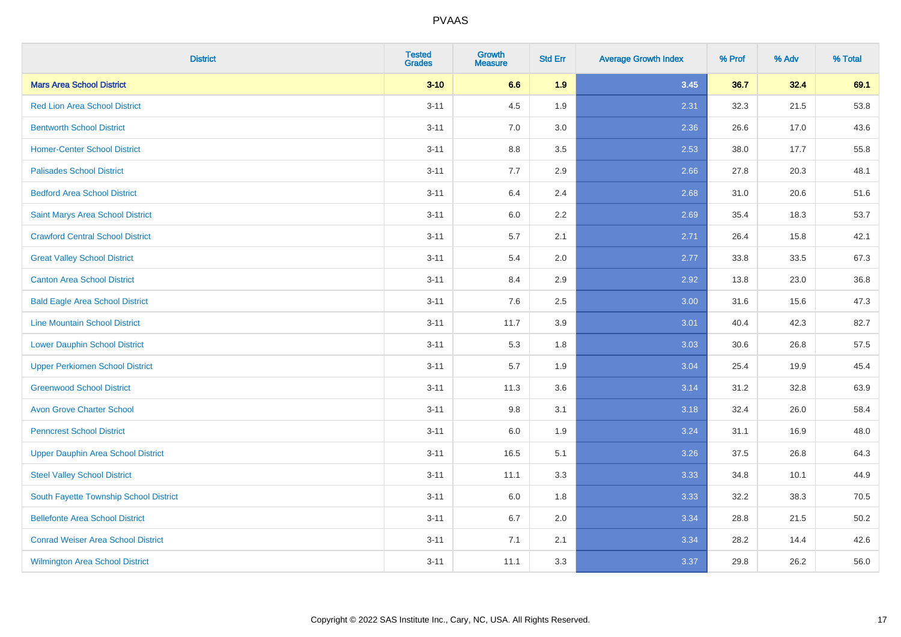| <b>District</b>                           | <b>Tested</b><br><b>Grades</b> | <b>Growth</b><br><b>Measure</b> | <b>Std Err</b> | <b>Average Growth Index</b> | % Prof | % Adv | % Total |
|-------------------------------------------|--------------------------------|---------------------------------|----------------|-----------------------------|--------|-------|---------|
| <b>Mars Area School District</b>          | $3 - 10$                       | 6.6                             | 1.9            | 3.45                        | 36.7   | 32.4  | 69.1    |
| <b>Red Lion Area School District</b>      | $3 - 11$                       | 4.5                             | 1.9            | 2.31                        | 32.3   | 21.5  | 53.8    |
| <b>Bentworth School District</b>          | $3 - 11$                       | 7.0                             | 3.0            | 2.36                        | 26.6   | 17.0  | 43.6    |
| <b>Homer-Center School District</b>       | $3 - 11$                       | 8.8                             | 3.5            | 2.53                        | 38.0   | 17.7  | 55.8    |
| <b>Palisades School District</b>          | $3 - 11$                       | 7.7                             | 2.9            | 2.66                        | 27.8   | 20.3  | 48.1    |
| <b>Bedford Area School District</b>       | $3 - 11$                       | 6.4                             | 2.4            | 2.68                        | 31.0   | 20.6  | 51.6    |
| Saint Marys Area School District          | $3 - 11$                       | 6.0                             | 2.2            | 2.69                        | 35.4   | 18.3  | 53.7    |
| <b>Crawford Central School District</b>   | $3 - 11$                       | 5.7                             | 2.1            | 2.71                        | 26.4   | 15.8  | 42.1    |
| <b>Great Valley School District</b>       | $3 - 11$                       | 5.4                             | 2.0            | 2.77                        | 33.8   | 33.5  | 67.3    |
| <b>Canton Area School District</b>        | $3 - 11$                       | 8.4                             | 2.9            | 2.92                        | 13.8   | 23.0  | 36.8    |
| <b>Bald Eagle Area School District</b>    | $3 - 11$                       | 7.6                             | 2.5            | 3.00                        | 31.6   | 15.6  | 47.3    |
| <b>Line Mountain School District</b>      | $3 - 11$                       | 11.7                            | 3.9            | 3.01                        | 40.4   | 42.3  | 82.7    |
| <b>Lower Dauphin School District</b>      | $3 - 11$                       | 5.3                             | 1.8            | 3.03                        | 30.6   | 26.8  | 57.5    |
| <b>Upper Perkiomen School District</b>    | $3 - 11$                       | 5.7                             | 1.9            | 3.04                        | 25.4   | 19.9  | 45.4    |
| <b>Greenwood School District</b>          | $3 - 11$                       | 11.3                            | 3.6            | 3.14                        | 31.2   | 32.8  | 63.9    |
| <b>Avon Grove Charter School</b>          | $3 - 11$                       | 9.8                             | 3.1            | 3.18                        | 32.4   | 26.0  | 58.4    |
| <b>Penncrest School District</b>          | $3 - 11$                       | 6.0                             | 1.9            | 3.24                        | 31.1   | 16.9  | 48.0    |
| <b>Upper Dauphin Area School District</b> | $3 - 11$                       | 16.5                            | 5.1            | 3.26                        | 37.5   | 26.8  | 64.3    |
| <b>Steel Valley School District</b>       | $3 - 11$                       | 11.1                            | 3.3            | 3.33                        | 34.8   | 10.1  | 44.9    |
| South Fayette Township School District    | $3 - 11$                       | 6.0                             | 1.8            | 3.33                        | 32.2   | 38.3  | 70.5    |
| <b>Bellefonte Area School District</b>    | $3 - 11$                       | 6.7                             | 2.0            | 3.34                        | 28.8   | 21.5  | 50.2    |
| <b>Conrad Weiser Area School District</b> | $3 - 11$                       | 7.1                             | 2.1            | 3.34                        | 28.2   | 14.4  | 42.6    |
| <b>Wilmington Area School District</b>    | $3 - 11$                       | 11.1                            | 3.3            | 3.37                        | 29.8   | 26.2  | 56.0    |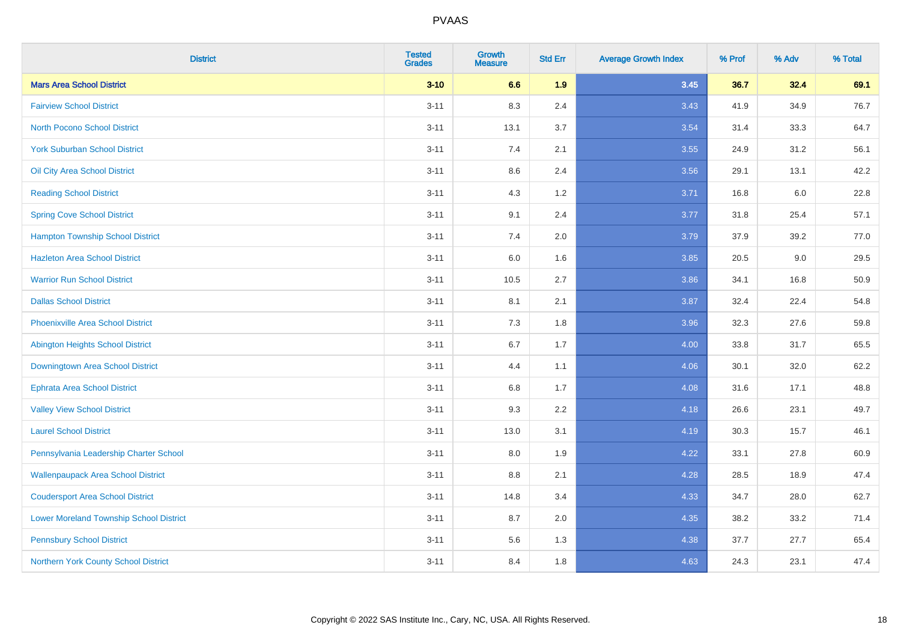| <b>District</b>                                | <b>Tested</b><br><b>Grades</b> | <b>Growth</b><br><b>Measure</b> | <b>Std Err</b> | <b>Average Growth Index</b> | % Prof | % Adv | % Total |
|------------------------------------------------|--------------------------------|---------------------------------|----------------|-----------------------------|--------|-------|---------|
| <b>Mars Area School District</b>               | $3 - 10$                       | 6.6                             | 1.9            | 3.45                        | 36.7   | 32.4  | 69.1    |
| <b>Fairview School District</b>                | $3 - 11$                       | 8.3                             | 2.4            | 3.43                        | 41.9   | 34.9  | 76.7    |
| <b>North Pocono School District</b>            | $3 - 11$                       | 13.1                            | 3.7            | 3.54                        | 31.4   | 33.3  | 64.7    |
| <b>York Suburban School District</b>           | $3 - 11$                       | $7.4$                           | 2.1            | 3.55                        | 24.9   | 31.2  | 56.1    |
| Oil City Area School District                  | $3 - 11$                       | 8.6                             | 2.4            | 3.56                        | 29.1   | 13.1  | 42.2    |
| <b>Reading School District</b>                 | $3 - 11$                       | 4.3                             | 1.2            | 3.71                        | 16.8   | 6.0   | 22.8    |
| <b>Spring Cove School District</b>             | $3 - 11$                       | 9.1                             | 2.4            | 3.77                        | 31.8   | 25.4  | 57.1    |
| <b>Hampton Township School District</b>        | $3 - 11$                       | 7.4                             | 2.0            | 3.79                        | 37.9   | 39.2  | 77.0    |
| <b>Hazleton Area School District</b>           | $3 - 11$                       | 6.0                             | 1.6            | 3.85                        | 20.5   | 9.0   | 29.5    |
| <b>Warrior Run School District</b>             | $3 - 11$                       | 10.5                            | 2.7            | 3.86                        | 34.1   | 16.8  | 50.9    |
| <b>Dallas School District</b>                  | $3 - 11$                       | 8.1                             | 2.1            | 3.87                        | 32.4   | 22.4  | 54.8    |
| <b>Phoenixville Area School District</b>       | $3 - 11$                       | 7.3                             | 1.8            | 3.96                        | 32.3   | 27.6  | 59.8    |
| <b>Abington Heights School District</b>        | $3 - 11$                       | 6.7                             | 1.7            | 4.00                        | 33.8   | 31.7  | 65.5    |
| Downingtown Area School District               | $3 - 11$                       | 4.4                             | 1.1            | 4.06                        | 30.1   | 32.0  | 62.2    |
| <b>Ephrata Area School District</b>            | $3 - 11$                       | 6.8                             | 1.7            | 4.08                        | 31.6   | 17.1  | 48.8    |
| <b>Valley View School District</b>             | $3 - 11$                       | 9.3                             | 2.2            | 4.18                        | 26.6   | 23.1  | 49.7    |
| <b>Laurel School District</b>                  | $3 - 11$                       | 13.0                            | 3.1            | 4.19                        | 30.3   | 15.7  | 46.1    |
| Pennsylvania Leadership Charter School         | $3 - 11$                       | 8.0                             | 1.9            | 4.22                        | 33.1   | 27.8  | 60.9    |
| <b>Wallenpaupack Area School District</b>      | $3 - 11$                       | 8.8                             | 2.1            | 4.28                        | 28.5   | 18.9  | 47.4    |
| <b>Coudersport Area School District</b>        | $3 - 11$                       | 14.8                            | 3.4            | 4.33                        | 34.7   | 28.0  | 62.7    |
| <b>Lower Moreland Township School District</b> | $3 - 11$                       | 8.7                             | 2.0            | 4.35                        | 38.2   | 33.2  | 71.4    |
| <b>Pennsbury School District</b>               | $3 - 11$                       | 5.6                             | 1.3            | 4.38                        | 37.7   | 27.7  | 65.4    |
| Northern York County School District           | $3 - 11$                       | 8.4                             | 1.8            | 4.63                        | 24.3   | 23.1  | 47.4    |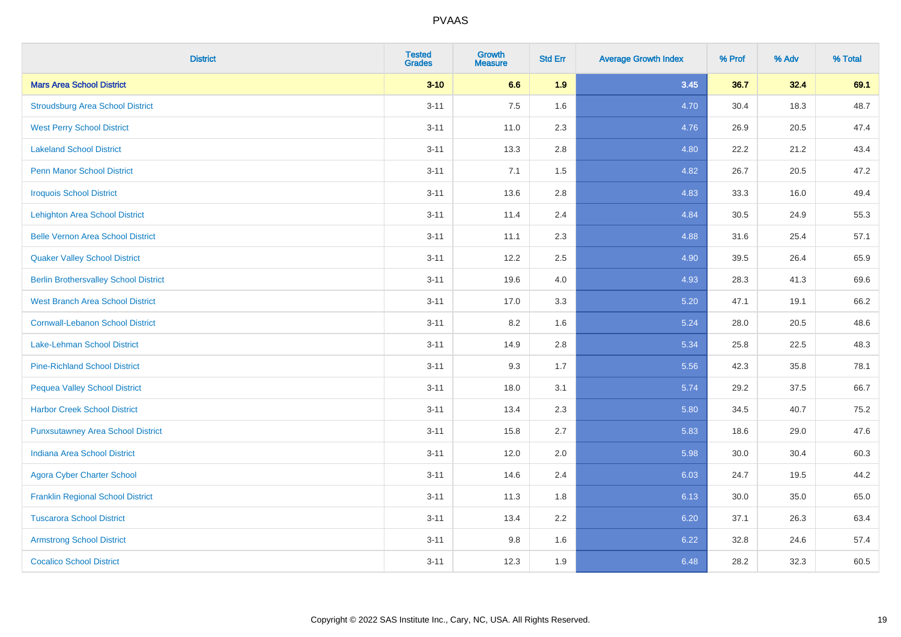| <b>District</b>                              | <b>Tested</b><br><b>Grades</b> | <b>Growth</b><br><b>Measure</b> | <b>Std Err</b> | <b>Average Growth Index</b> | % Prof | % Adv | % Total |
|----------------------------------------------|--------------------------------|---------------------------------|----------------|-----------------------------|--------|-------|---------|
| <b>Mars Area School District</b>             | $3 - 10$                       | 6.6                             | 1.9            | 3.45                        | 36.7   | 32.4  | 69.1    |
| <b>Stroudsburg Area School District</b>      | $3 - 11$                       | 7.5                             | 1.6            | 4.70                        | 30.4   | 18.3  | 48.7    |
| <b>West Perry School District</b>            | $3 - 11$                       | 11.0                            | 2.3            | 4.76                        | 26.9   | 20.5  | 47.4    |
| <b>Lakeland School District</b>              | $3 - 11$                       | 13.3                            | 2.8            | 4.80                        | 22.2   | 21.2  | 43.4    |
| <b>Penn Manor School District</b>            | $3 - 11$                       | 7.1                             | 1.5            | 4.82                        | 26.7   | 20.5  | 47.2    |
| <b>Iroquois School District</b>              | $3 - 11$                       | 13.6                            | 2.8            | 4.83                        | 33.3   | 16.0  | 49.4    |
| <b>Lehighton Area School District</b>        | $3 - 11$                       | 11.4                            | 2.4            | 4.84                        | 30.5   | 24.9  | 55.3    |
| <b>Belle Vernon Area School District</b>     | $3 - 11$                       | 11.1                            | 2.3            | 4.88                        | 31.6   | 25.4  | 57.1    |
| <b>Quaker Valley School District</b>         | $3 - 11$                       | 12.2                            | 2.5            | 4.90                        | 39.5   | 26.4  | 65.9    |
| <b>Berlin Brothersvalley School District</b> | $3 - 11$                       | 19.6                            | 4.0            | 4.93                        | 28.3   | 41.3  | 69.6    |
| <b>West Branch Area School District</b>      | $3 - 11$                       | 17.0                            | 3.3            | 5.20                        | 47.1   | 19.1  | 66.2    |
| <b>Cornwall-Lebanon School District</b>      | $3 - 11$                       | 8.2                             | 1.6            | 5.24                        | 28.0   | 20.5  | 48.6    |
| Lake-Lehman School District                  | $3 - 11$                       | 14.9                            | 2.8            | 5.34                        | 25.8   | 22.5  | 48.3    |
| <b>Pine-Richland School District</b>         | $3 - 11$                       | 9.3                             | 1.7            | 5.56                        | 42.3   | 35.8  | 78.1    |
| <b>Pequea Valley School District</b>         | $3 - 11$                       | 18.0                            | 3.1            | 5.74                        | 29.2   | 37.5  | 66.7    |
| <b>Harbor Creek School District</b>          | $3 - 11$                       | 13.4                            | 2.3            | 5.80                        | 34.5   | 40.7  | 75.2    |
| <b>Punxsutawney Area School District</b>     | $3 - 11$                       | 15.8                            | 2.7            | 5.83                        | 18.6   | 29.0  | 47.6    |
| <b>Indiana Area School District</b>          | $3 - 11$                       | 12.0                            | 2.0            | 5.98                        | 30.0   | 30.4  | 60.3    |
| <b>Agora Cyber Charter School</b>            | $3 - 11$                       | 14.6                            | 2.4            | 6.03                        | 24.7   | 19.5  | 44.2    |
| <b>Franklin Regional School District</b>     | $3 - 11$                       | 11.3                            | 1.8            | 6.13                        | 30.0   | 35.0  | 65.0    |
| <b>Tuscarora School District</b>             | $3 - 11$                       | 13.4                            | 2.2            | 6.20                        | 37.1   | 26.3  | 63.4    |
| <b>Armstrong School District</b>             | $3 - 11$                       | 9.8                             | 1.6            | 6.22                        | 32.8   | 24.6  | 57.4    |
| <b>Cocalico School District</b>              | $3 - 11$                       | 12.3                            | 1.9            | 6.48                        | 28.2   | 32.3  | 60.5    |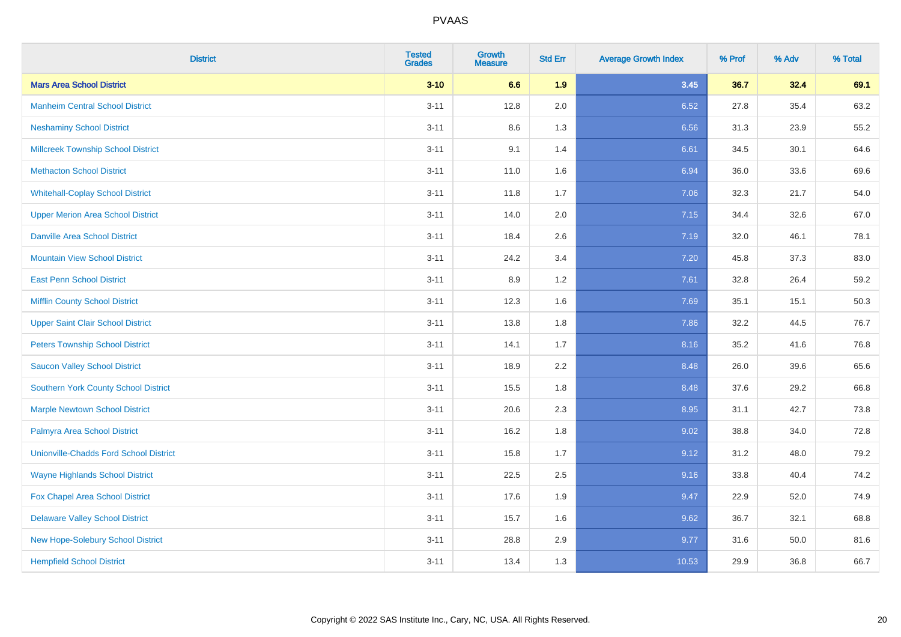| <b>District</b>                               | <b>Tested</b><br><b>Grades</b> | <b>Growth</b><br><b>Measure</b> | <b>Std Err</b> | <b>Average Growth Index</b> | % Prof | % Adv | % Total |
|-----------------------------------------------|--------------------------------|---------------------------------|----------------|-----------------------------|--------|-------|---------|
| <b>Mars Area School District</b>              | $3 - 10$                       | 6.6                             | 1.9            | 3.45                        | 36.7   | 32.4  | 69.1    |
| <b>Manheim Central School District</b>        | $3 - 11$                       | 12.8                            | 2.0            | 6.52                        | 27.8   | 35.4  | 63.2    |
| <b>Neshaminy School District</b>              | $3 - 11$                       | 8.6                             | 1.3            | 6.56                        | 31.3   | 23.9  | 55.2    |
| <b>Millcreek Township School District</b>     | $3 - 11$                       | 9.1                             | 1.4            | 6.61                        | 34.5   | 30.1  | 64.6    |
| <b>Methacton School District</b>              | $3 - 11$                       | 11.0                            | 1.6            | 6.94                        | 36.0   | 33.6  | 69.6    |
| <b>Whitehall-Coplay School District</b>       | $3 - 11$                       | 11.8                            | 1.7            | 7.06                        | 32.3   | 21.7  | 54.0    |
| <b>Upper Merion Area School District</b>      | $3 - 11$                       | 14.0                            | 2.0            | 7.15                        | 34.4   | 32.6  | 67.0    |
| <b>Danville Area School District</b>          | $3 - 11$                       | 18.4                            | 2.6            | 7.19                        | 32.0   | 46.1  | 78.1    |
| <b>Mountain View School District</b>          | $3 - 11$                       | 24.2                            | 3.4            | 7.20                        | 45.8   | 37.3  | 83.0    |
| <b>East Penn School District</b>              | $3 - 11$                       | 8.9                             | 1.2            | 7.61                        | 32.8   | 26.4  | 59.2    |
| <b>Mifflin County School District</b>         | $3 - 11$                       | 12.3                            | 1.6            | 7.69                        | 35.1   | 15.1  | 50.3    |
| <b>Upper Saint Clair School District</b>      | $3 - 11$                       | 13.8                            | 1.8            | 7.86                        | 32.2   | 44.5  | 76.7    |
| <b>Peters Township School District</b>        | $3 - 11$                       | 14.1                            | 1.7            | 8.16                        | 35.2   | 41.6  | 76.8    |
| <b>Saucon Valley School District</b>          | $3 - 11$                       | 18.9                            | 2.2            | 8.48                        | 26.0   | 39.6  | 65.6    |
| <b>Southern York County School District</b>   | $3 - 11$                       | 15.5                            | 1.8            | 8.48                        | 37.6   | 29.2  | 66.8    |
| <b>Marple Newtown School District</b>         | $3 - 11$                       | 20.6                            | 2.3            | 8.95                        | 31.1   | 42.7  | 73.8    |
| <b>Palmyra Area School District</b>           | $3 - 11$                       | 16.2                            | 1.8            | 9.02                        | 38.8   | 34.0  | 72.8    |
| <b>Unionville-Chadds Ford School District</b> | $3 - 11$                       | 15.8                            | 1.7            | 9.12                        | 31.2   | 48.0  | 79.2    |
| <b>Wayne Highlands School District</b>        | $3 - 11$                       | 22.5                            | 2.5            | 9.16                        | 33.8   | 40.4  | 74.2    |
| Fox Chapel Area School District               | $3 - 11$                       | 17.6                            | 1.9            | 9.47                        | 22.9   | 52.0  | 74.9    |
| <b>Delaware Valley School District</b>        | $3 - 11$                       | 15.7                            | 1.6            | 9.62                        | 36.7   | 32.1  | 68.8    |
| <b>New Hope-Solebury School District</b>      | $3 - 11$                       | 28.8                            | 2.9            | 9.77                        | 31.6   | 50.0  | 81.6    |
| <b>Hempfield School District</b>              | $3 - 11$                       | 13.4                            | 1.3            | 10.53                       | 29.9   | 36.8  | 66.7    |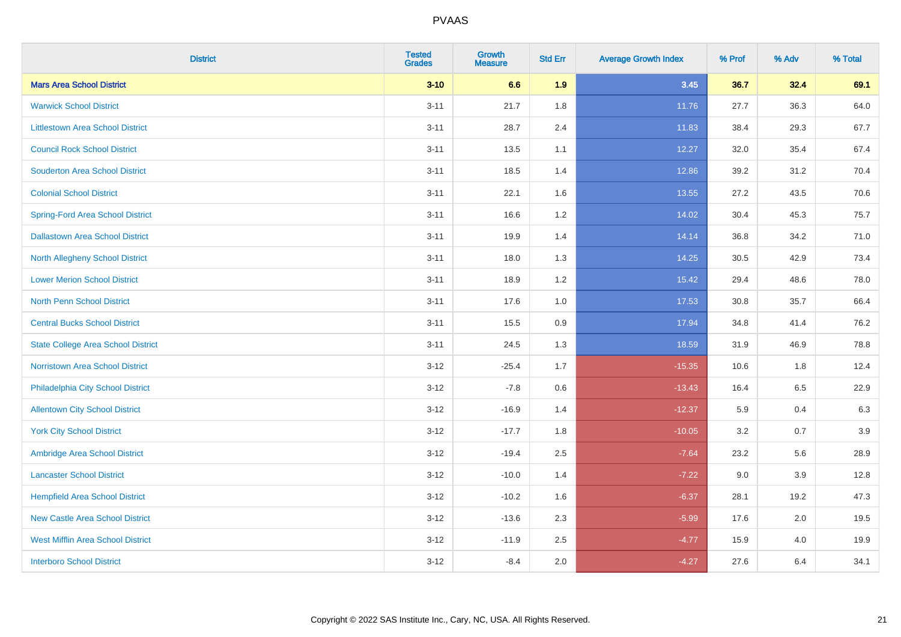| <b>District</b>                           | <b>Tested</b><br><b>Grades</b> | <b>Growth</b><br><b>Measure</b> | <b>Std Err</b> | <b>Average Growth Index</b> | % Prof | % Adv | % Total |
|-------------------------------------------|--------------------------------|---------------------------------|----------------|-----------------------------|--------|-------|---------|
| <b>Mars Area School District</b>          | $3 - 10$                       | 6.6                             | 1.9            | 3.45                        | 36.7   | 32.4  | 69.1    |
| <b>Warwick School District</b>            | $3 - 11$                       | 21.7                            | 1.8            | 11.76                       | 27.7   | 36.3  | 64.0    |
| <b>Littlestown Area School District</b>   | $3 - 11$                       | 28.7                            | 2.4            | 11.83                       | 38.4   | 29.3  | 67.7    |
| <b>Council Rock School District</b>       | $3 - 11$                       | 13.5                            | 1.1            | 12.27                       | 32.0   | 35.4  | 67.4    |
| <b>Souderton Area School District</b>     | $3 - 11$                       | 18.5                            | 1.4            | 12.86                       | 39.2   | 31.2  | 70.4    |
| <b>Colonial School District</b>           | $3 - 11$                       | 22.1                            | 1.6            | 13.55                       | 27.2   | 43.5  | 70.6    |
| <b>Spring-Ford Area School District</b>   | $3 - 11$                       | 16.6                            | 1.2            | 14.02                       | 30.4   | 45.3  | 75.7    |
| <b>Dallastown Area School District</b>    | $3 - 11$                       | 19.9                            | 1.4            | 14.14                       | 36.8   | 34.2  | 71.0    |
| <b>North Allegheny School District</b>    | $3 - 11$                       | 18.0                            | 1.3            | 14.25                       | 30.5   | 42.9  | 73.4    |
| <b>Lower Merion School District</b>       | $3 - 11$                       | 18.9                            | 1.2            | 15.42                       | 29.4   | 48.6  | 78.0    |
| <b>North Penn School District</b>         | $3 - 11$                       | 17.6                            | 1.0            | 17.53                       | 30.8   | 35.7  | 66.4    |
| <b>Central Bucks School District</b>      | $3 - 11$                       | 15.5                            | 0.9            | 17.94                       | 34.8   | 41.4  | 76.2    |
| <b>State College Area School District</b> | $3 - 11$                       | 24.5                            | 1.3            | 18.59                       | 31.9   | 46.9  | 78.8    |
| Norristown Area School District           | $3 - 12$                       | $-25.4$                         | 1.7            | $-15.35$                    | 10.6   | 1.8   | 12.4    |
| Philadelphia City School District         | $3 - 12$                       | $-7.8$                          | 0.6            | $-13.43$                    | 16.4   | 6.5   | 22.9    |
| <b>Allentown City School District</b>     | $3 - 12$                       | $-16.9$                         | 1.4            | $-12.37$                    | 5.9    | 0.4   | 6.3     |
| <b>York City School District</b>          | $3 - 12$                       | $-17.7$                         | 1.8            | $-10.05$                    | 3.2    | 0.7   | 3.9     |
| Ambridge Area School District             | $3 - 12$                       | $-19.4$                         | 2.5            | $-7.64$                     | 23.2   | 5.6   | 28.9    |
| <b>Lancaster School District</b>          | $3 - 12$                       | $-10.0$                         | 1.4            | $-7.22$                     | 9.0    | 3.9   | 12.8    |
| <b>Hempfield Area School District</b>     | $3 - 12$                       | $-10.2$                         | 1.6            | $-6.37$                     | 28.1   | 19.2  | 47.3    |
| <b>New Castle Area School District</b>    | $3 - 12$                       | $-13.6$                         | 2.3            | $-5.99$                     | 17.6   | 2.0   | 19.5    |
| <b>West Mifflin Area School District</b>  | $3 - 12$                       | $-11.9$                         | 2.5            | $-4.77$                     | 15.9   | 4.0   | 19.9    |
| <b>Interboro School District</b>          | $3 - 12$                       | $-8.4$                          | 2.0            | $-4.27$                     | 27.6   | 6.4   | 34.1    |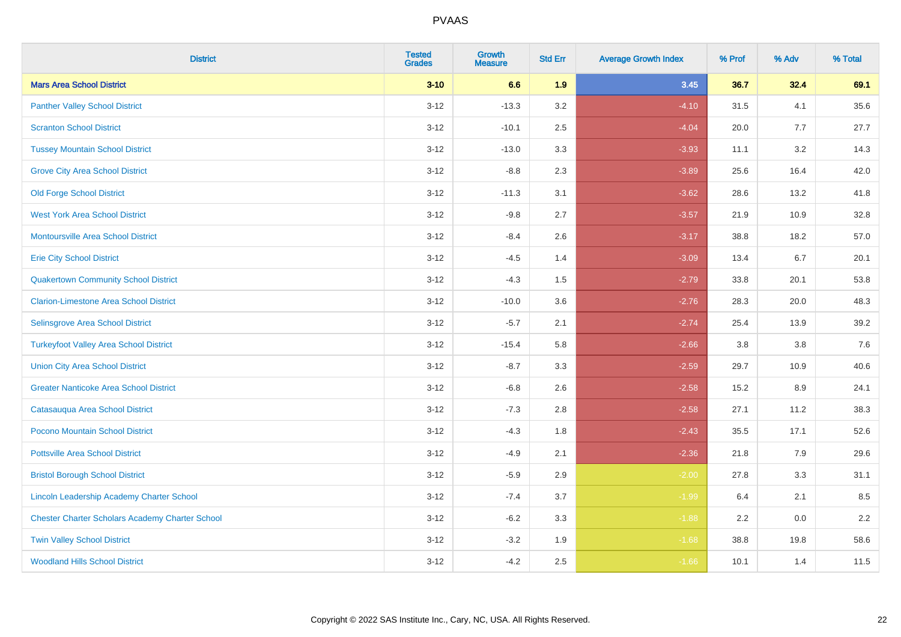| <b>District</b>                                        | <b>Tested</b><br><b>Grades</b> | <b>Growth</b><br><b>Measure</b> | <b>Std Err</b> | <b>Average Growth Index</b> | % Prof | % Adv | % Total |
|--------------------------------------------------------|--------------------------------|---------------------------------|----------------|-----------------------------|--------|-------|---------|
| <b>Mars Area School District</b>                       | $3 - 10$                       | 6.6                             | 1.9            | 3.45                        | 36.7   | 32.4  | 69.1    |
| <b>Panther Valley School District</b>                  | $3 - 12$                       | $-13.3$                         | 3.2            | $-4.10$                     | 31.5   | 4.1   | 35.6    |
| <b>Scranton School District</b>                        | $3 - 12$                       | $-10.1$                         | 2.5            | $-4.04$                     | 20.0   | 7.7   | 27.7    |
| <b>Tussey Mountain School District</b>                 | $3 - 12$                       | $-13.0$                         | 3.3            | $-3.93$                     | 11.1   | 3.2   | 14.3    |
| <b>Grove City Area School District</b>                 | $3 - 12$                       | $-8.8$                          | 2.3            | $-3.89$                     | 25.6   | 16.4  | 42.0    |
| <b>Old Forge School District</b>                       | $3 - 12$                       | $-11.3$                         | 3.1            | $-3.62$                     | 28.6   | 13.2  | 41.8    |
| <b>West York Area School District</b>                  | $3 - 12$                       | $-9.8$                          | 2.7            | $-3.57$                     | 21.9   | 10.9  | 32.8    |
| <b>Montoursville Area School District</b>              | $3 - 12$                       | $-8.4$                          | 2.6            | $-3.17$                     | 38.8   | 18.2  | 57.0    |
| <b>Erie City School District</b>                       | $3 - 12$                       | $-4.5$                          | 1.4            | $-3.09$                     | 13.4   | 6.7   | 20.1    |
| <b>Quakertown Community School District</b>            | $3 - 12$                       | $-4.3$                          | 1.5            | $-2.79$                     | 33.8   | 20.1  | 53.8    |
| <b>Clarion-Limestone Area School District</b>          | $3 - 12$                       | $-10.0$                         | 3.6            | $-2.76$                     | 28.3   | 20.0  | 48.3    |
| Selinsgrove Area School District                       | $3 - 12$                       | $-5.7$                          | 2.1            | $-2.74$                     | 25.4   | 13.9  | 39.2    |
| <b>Turkeyfoot Valley Area School District</b>          | $3 - 12$                       | $-15.4$                         | 5.8            | $-2.66$                     | 3.8    | 3.8   | $7.6$   |
| <b>Union City Area School District</b>                 | $3 - 12$                       | $-8.7$                          | 3.3            | $-2.59$                     | 29.7   | 10.9  | 40.6    |
| <b>Greater Nanticoke Area School District</b>          | $3 - 12$                       | $-6.8$                          | 2.6            | $-2.58$                     | 15.2   | 8.9   | 24.1    |
| Catasauqua Area School District                        | $3 - 12$                       | $-7.3$                          | 2.8            | $-2.58$                     | 27.1   | 11.2  | 38.3    |
| Pocono Mountain School District                        | $3 - 12$                       | $-4.3$                          | 1.8            | $-2.43$                     | 35.5   | 17.1  | 52.6    |
| <b>Pottsville Area School District</b>                 | $3 - 12$                       | $-4.9$                          | 2.1            | $-2.36$                     | 21.8   | 7.9   | 29.6    |
| <b>Bristol Borough School District</b>                 | $3 - 12$                       | $-5.9$                          | 2.9            | $-2.00$                     | 27.8   | 3.3   | 31.1    |
| Lincoln Leadership Academy Charter School              | $3 - 12$                       | $-7.4$                          | 3.7            | $-1.99$                     | 6.4    | 2.1   | 8.5     |
| <b>Chester Charter Scholars Academy Charter School</b> | $3 - 12$                       | $-6.2$                          | 3.3            | $-1.88$                     | 2.2    | 0.0   | 2.2     |
| <b>Twin Valley School District</b>                     | $3 - 12$                       | $-3.2$                          | 1.9            | $-1.68$                     | 38.8   | 19.8  | 58.6    |
| <b>Woodland Hills School District</b>                  | $3 - 12$                       | $-4.2$                          | 2.5            | $-1.66$                     | 10.1   | 1.4   | 11.5    |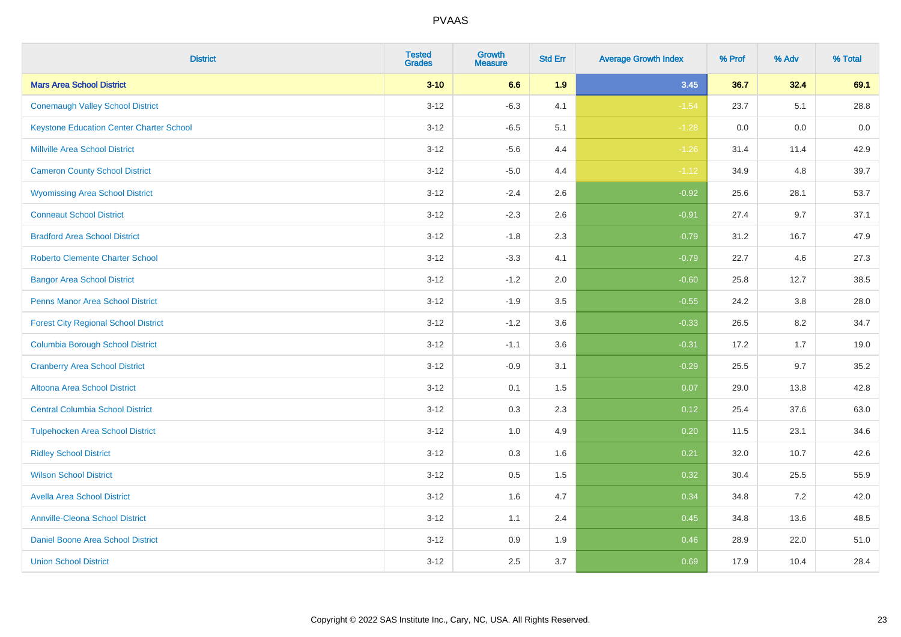| <b>District</b>                                 | <b>Tested</b><br><b>Grades</b> | <b>Growth</b><br><b>Measure</b> | <b>Std Err</b> | <b>Average Growth Index</b> | % Prof | % Adv | % Total |
|-------------------------------------------------|--------------------------------|---------------------------------|----------------|-----------------------------|--------|-------|---------|
| <b>Mars Area School District</b>                | $3 - 10$                       | 6.6                             | 1.9            | 3.45                        | 36.7   | 32.4  | 69.1    |
| <b>Conemaugh Valley School District</b>         | $3 - 12$                       | $-6.3$                          | 4.1            | $-1.54$                     | 23.7   | 5.1   | 28.8    |
| <b>Keystone Education Center Charter School</b> | $3 - 12$                       | $-6.5$                          | 5.1            | $-1.28$                     | 0.0    | 0.0   | 0.0     |
| <b>Millville Area School District</b>           | $3 - 12$                       | $-5.6$                          | 4.4            | $-1.26$                     | 31.4   | 11.4  | 42.9    |
| <b>Cameron County School District</b>           | $3-12$                         | $-5.0$                          | 4.4            | $-1.12$                     | 34.9   | 4.8   | 39.7    |
| <b>Wyomissing Area School District</b>          | $3 - 12$                       | $-2.4$                          | 2.6            | $-0.92$                     | 25.6   | 28.1  | 53.7    |
| <b>Conneaut School District</b>                 | $3 - 12$                       | $-2.3$                          | 2.6            | $-0.91$                     | 27.4   | 9.7   | 37.1    |
| <b>Bradford Area School District</b>            | $3 - 12$                       | $-1.8$                          | 2.3            | $-0.79$                     | 31.2   | 16.7  | 47.9    |
| <b>Roberto Clemente Charter School</b>          | $3 - 12$                       | $-3.3$                          | 4.1            | $-0.79$                     | 22.7   | 4.6   | 27.3    |
| <b>Bangor Area School District</b>              | $3 - 12$                       | $-1.2$                          | 2.0            | $-0.60$                     | 25.8   | 12.7  | 38.5    |
| <b>Penns Manor Area School District</b>         | $3 - 12$                       | $-1.9$                          | 3.5            | $-0.55$                     | 24.2   | 3.8   | 28.0    |
| <b>Forest City Regional School District</b>     | $3 - 12$                       | $-1.2$                          | 3.6            | $-0.33$                     | 26.5   | 8.2   | 34.7    |
| <b>Columbia Borough School District</b>         | $3 - 12$                       | $-1.1$                          | 3.6            | $-0.31$                     | 17.2   | 1.7   | 19.0    |
| <b>Cranberry Area School District</b>           | $3 - 12$                       | $-0.9$                          | 3.1            | $-0.29$                     | 25.5   | 9.7   | 35.2    |
| Altoona Area School District                    | $3 - 12$                       | 0.1                             | 1.5            | 0.07                        | 29.0   | 13.8  | 42.8    |
| <b>Central Columbia School District</b>         | $3 - 12$                       | 0.3                             | 2.3            | 0.12                        | 25.4   | 37.6  | 63.0    |
| <b>Tulpehocken Area School District</b>         | $3 - 12$                       | 1.0                             | 4.9            | 0.20                        | 11.5   | 23.1  | 34.6    |
| <b>Ridley School District</b>                   | $3 - 12$                       | 0.3                             | 1.6            | 0.21                        | 32.0   | 10.7  | 42.6    |
| <b>Wilson School District</b>                   | $3 - 12$                       | $0.5\,$                         | 1.5            | 0.32                        | 30.4   | 25.5  | 55.9    |
| <b>Avella Area School District</b>              | $3-12$                         | 1.6                             | 4.7            | 0.34                        | 34.8   | 7.2   | 42.0    |
| <b>Annville-Cleona School District</b>          | $3 - 12$                       | 1.1                             | 2.4            | 0.45                        | 34.8   | 13.6  | 48.5    |
| Daniel Boone Area School District               | $3 - 12$                       | $0.9\,$                         | 1.9            | 0.46                        | 28.9   | 22.0  | 51.0    |
| <b>Union School District</b>                    | $3-12$                         | 2.5                             | 3.7            | 0.69                        | 17.9   | 10.4  | 28.4    |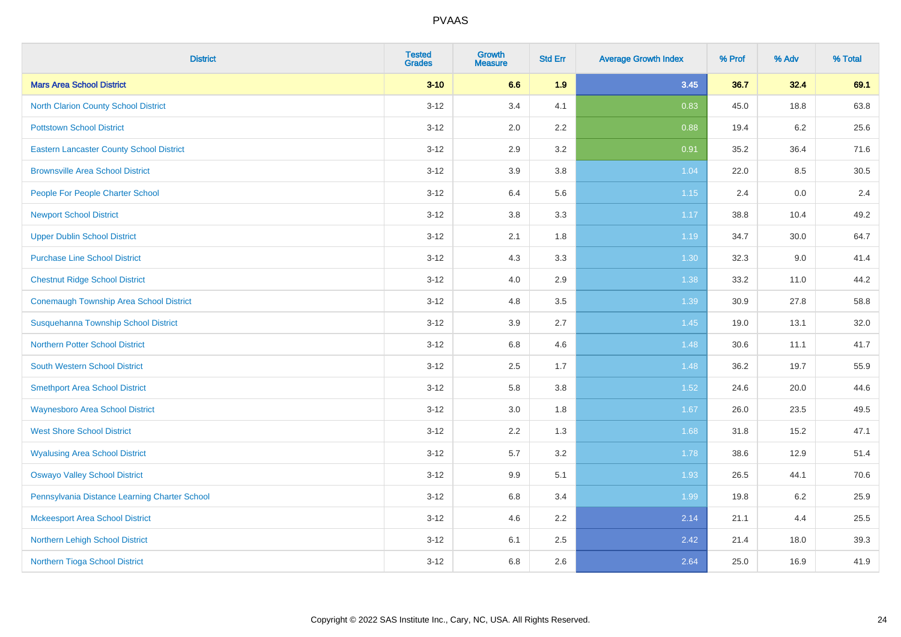| <b>District</b>                                 | <b>Tested</b><br><b>Grades</b> | <b>Growth</b><br><b>Measure</b> | <b>Std Err</b> | <b>Average Growth Index</b> | % Prof | % Adv | % Total |
|-------------------------------------------------|--------------------------------|---------------------------------|----------------|-----------------------------|--------|-------|---------|
| <b>Mars Area School District</b>                | $3 - 10$                       | 6.6                             | 1.9            | 3.45                        | 36.7   | 32.4  | 69.1    |
| <b>North Clarion County School District</b>     | $3 - 12$                       | 3.4                             | 4.1            | 0.83                        | 45.0   | 18.8  | 63.8    |
| <b>Pottstown School District</b>                | $3-12$                         | 2.0                             | 2.2            | 0.88                        | 19.4   | 6.2   | 25.6    |
| <b>Eastern Lancaster County School District</b> | $3 - 12$                       | 2.9                             | 3.2            | 0.91                        | 35.2   | 36.4  | 71.6    |
| <b>Brownsville Area School District</b>         | $3 - 12$                       | 3.9                             | 3.8            | 1.04                        | 22.0   | 8.5   | 30.5    |
| People For People Charter School                | $3-12$                         | 6.4                             | 5.6            | $1.15$                      | 2.4    | 0.0   | 2.4     |
| <b>Newport School District</b>                  | $3 - 12$                       | $3.8\,$                         | 3.3            | 1.17                        | 38.8   | 10.4  | 49.2    |
| <b>Upper Dublin School District</b>             | $3 - 12$                       | 2.1                             | 1.8            | 1.19                        | 34.7   | 30.0  | 64.7    |
| <b>Purchase Line School District</b>            | $3-12$                         | 4.3                             | 3.3            | 1.30                        | 32.3   | 9.0   | 41.4    |
| <b>Chestnut Ridge School District</b>           | $3 - 12$                       | 4.0                             | 2.9            | 1.38                        | 33.2   | 11.0  | 44.2    |
| Conemaugh Township Area School District         | $3-12$                         | 4.8                             | 3.5            | 1.39                        | 30.9   | 27.8  | 58.8    |
| Susquehanna Township School District            | $3 - 12$                       | 3.9                             | 2.7            | 1.45                        | 19.0   | 13.1  | 32.0    |
| <b>Northern Potter School District</b>          | $3 - 12$                       | 6.8                             | 4.6            | 1.48                        | 30.6   | 11.1  | 41.7    |
| <b>South Western School District</b>            | $3-12$                         | 2.5                             | 1.7            | 1.48                        | 36.2   | 19.7  | 55.9    |
| <b>Smethport Area School District</b>           | $3-12$                         | 5.8                             | 3.8            | 1.52                        | 24.6   | 20.0  | 44.6    |
| <b>Waynesboro Area School District</b>          | $3 - 12$                       | 3.0                             | 1.8            | 1.67                        | 26.0   | 23.5  | 49.5    |
| <b>West Shore School District</b>               | $3 - 12$                       | 2.2                             | 1.3            | 1.68                        | 31.8   | 15.2  | 47.1    |
| <b>Wyalusing Area School District</b>           | $3-12$                         | 5.7                             | 3.2            | 1.78                        | 38.6   | 12.9  | 51.4    |
| <b>Oswayo Valley School District</b>            | $3 - 12$                       | 9.9                             | 5.1            | 1.93                        | 26.5   | 44.1  | 70.6    |
| Pennsylvania Distance Learning Charter School   | $3-12$                         | 6.8                             | 3.4            | 1.99                        | 19.8   | 6.2   | 25.9    |
| <b>Mckeesport Area School District</b>          | $3 - 12$                       | 4.6                             | 2.2            | 2.14                        | 21.1   | 4.4   | 25.5    |
| Northern Lehigh School District                 | $3 - 12$                       | 6.1                             | 2.5            | 2.42                        | 21.4   | 18.0  | 39.3    |
| Northern Tioga School District                  | $3-12$                         | 6.8                             | 2.6            | 2.64                        | 25.0   | 16.9  | 41.9    |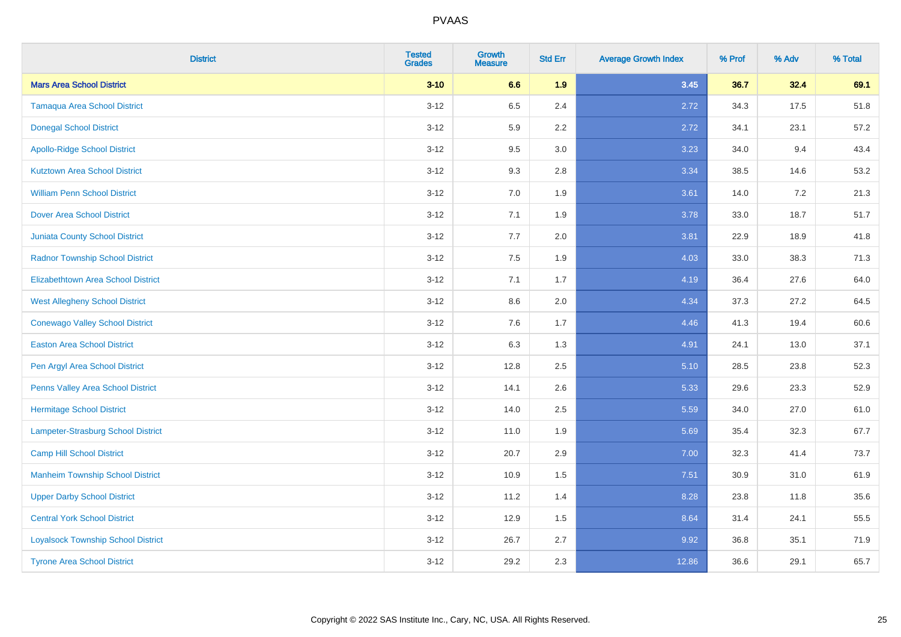| <b>District</b>                           | <b>Tested</b><br><b>Grades</b> | <b>Growth</b><br><b>Measure</b> | <b>Std Err</b> | <b>Average Growth Index</b> | % Prof | % Adv | % Total |
|-------------------------------------------|--------------------------------|---------------------------------|----------------|-----------------------------|--------|-------|---------|
| <b>Mars Area School District</b>          | $3 - 10$                       | 6.6                             | 1.9            | 3.45                        | 36.7   | 32.4  | 69.1    |
| <b>Tamaqua Area School District</b>       | $3 - 12$                       | 6.5                             | 2.4            | 2.72                        | 34.3   | 17.5  | 51.8    |
| <b>Donegal School District</b>            | $3 - 12$                       | 5.9                             | 2.2            | 2.72                        | 34.1   | 23.1  | 57.2    |
| <b>Apollo-Ridge School District</b>       | $3-12$                         | 9.5                             | 3.0            | 3.23                        | 34.0   | 9.4   | 43.4    |
| <b>Kutztown Area School District</b>      | $3-12$                         | 9.3                             | 2.8            | 3.34                        | 38.5   | 14.6  | 53.2    |
| <b>William Penn School District</b>       | $3 - 12$                       | 7.0                             | 1.9            | 3.61                        | 14.0   | 7.2   | 21.3    |
| <b>Dover Area School District</b>         | $3 - 12$                       | 7.1                             | 1.9            | 3.78                        | 33.0   | 18.7  | 51.7    |
| <b>Juniata County School District</b>     | $3-12$                         | 7.7                             | 2.0            | 3.81                        | 22.9   | 18.9  | 41.8    |
| <b>Radnor Township School District</b>    | $3-12$                         | 7.5                             | 1.9            | 4.03                        | 33.0   | 38.3  | 71.3    |
| <b>Elizabethtown Area School District</b> | $3 - 12$                       | 7.1                             | 1.7            | 4.19                        | 36.4   | 27.6  | 64.0    |
| <b>West Allegheny School District</b>     | $3-12$                         | 8.6                             | 2.0            | 4.34                        | 37.3   | 27.2  | 64.5    |
| <b>Conewago Valley School District</b>    | $3-12$                         | 7.6                             | 1.7            | 4.46                        | 41.3   | 19.4  | 60.6    |
| <b>Easton Area School District</b>        | $3 - 12$                       | 6.3                             | 1.3            | 4.91                        | 24.1   | 13.0  | 37.1    |
| Pen Argyl Area School District            | $3 - 12$                       | 12.8                            | 2.5            | 5.10                        | 28.5   | 23.8  | 52.3    |
| Penns Valley Area School District         | $3-12$                         | 14.1                            | 2.6            | 5.33                        | 29.6   | 23.3  | 52.9    |
| <b>Hermitage School District</b>          | $3 - 12$                       | 14.0                            | 2.5            | 5.59                        | 34.0   | 27.0  | 61.0    |
| <b>Lampeter-Strasburg School District</b> | $3 - 12$                       | 11.0                            | 1.9            | 5.69                        | 35.4   | 32.3  | 67.7    |
| <b>Camp Hill School District</b>          | $3-12$                         | 20.7                            | 2.9            | 7.00                        | 32.3   | 41.4  | 73.7    |
| <b>Manheim Township School District</b>   | $3 - 12$                       | 10.9                            | 1.5            | 7.51                        | 30.9   | 31.0  | 61.9    |
| <b>Upper Darby School District</b>        | $3 - 12$                       | 11.2                            | 1.4            | 8.28                        | 23.8   | 11.8  | 35.6    |
| <b>Central York School District</b>       | $3 - 12$                       | 12.9                            | 1.5            | 8.64                        | 31.4   | 24.1  | 55.5    |
| <b>Loyalsock Township School District</b> | $3-12$                         | 26.7                            | 2.7            | 9.92                        | 36.8   | 35.1  | 71.9    |
| <b>Tyrone Area School District</b>        | $3 - 12$                       | 29.2                            | 2.3            | 12.86                       | 36.6   | 29.1  | 65.7    |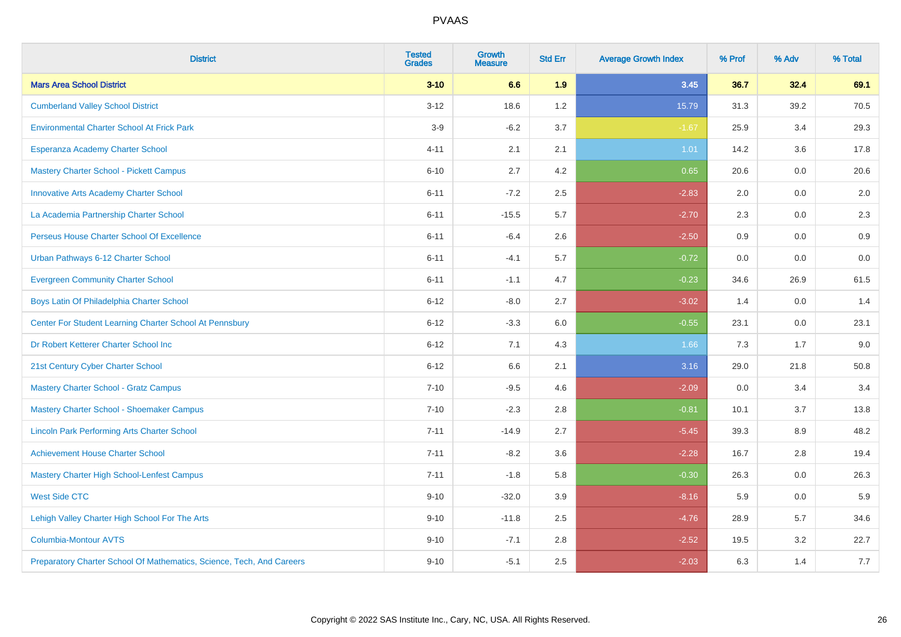| <b>District</b>                                                       | <b>Tested</b><br><b>Grades</b> | <b>Growth</b><br><b>Measure</b> | <b>Std Err</b> | <b>Average Growth Index</b> | % Prof | % Adv | % Total |
|-----------------------------------------------------------------------|--------------------------------|---------------------------------|----------------|-----------------------------|--------|-------|---------|
| <b>Mars Area School District</b>                                      | $3 - 10$                       | 6.6                             | 1.9            | 3.45                        | 36.7   | 32.4  | 69.1    |
| <b>Cumberland Valley School District</b>                              | $3 - 12$                       | 18.6                            | 1.2            | 15.79                       | 31.3   | 39.2  | 70.5    |
| <b>Environmental Charter School At Frick Park</b>                     | $3-9$                          | $-6.2$                          | 3.7            | $-1.67$                     | 25.9   | 3.4   | 29.3    |
| Esperanza Academy Charter School                                      | $4 - 11$                       | 2.1                             | 2.1            | 1.01                        | 14.2   | 3.6   | 17.8    |
| <b>Mastery Charter School - Pickett Campus</b>                        | $6 - 10$                       | 2.7                             | 4.2            | 0.65                        | 20.6   | 0.0   | 20.6    |
| <b>Innovative Arts Academy Charter School</b>                         | $6 - 11$                       | $-7.2$                          | 2.5            | $-2.83$                     | 2.0    | 0.0   | 2.0     |
| La Academia Partnership Charter School                                | $6 - 11$                       | $-15.5$                         | 5.7            | $-2.70$                     | 2.3    | 0.0   | 2.3     |
| Perseus House Charter School Of Excellence                            | $6 - 11$                       | $-6.4$                          | 2.6            | $-2.50$                     | 0.9    | 0.0   | 0.9     |
| Urban Pathways 6-12 Charter School                                    | $6 - 11$                       | $-4.1$                          | 5.7            | $-0.72$                     | 0.0    | 0.0   | $0.0\,$ |
| <b>Evergreen Community Charter School</b>                             | $6 - 11$                       | $-1.1$                          | 4.7            | $-0.23$                     | 34.6   | 26.9  | 61.5    |
| Boys Latin Of Philadelphia Charter School                             | $6 - 12$                       | $-8.0$                          | 2.7            | $-3.02$                     | 1.4    | 0.0   | 1.4     |
| Center For Student Learning Charter School At Pennsbury               | $6 - 12$                       | $-3.3$                          | 6.0            | $-0.55$                     | 23.1   | 0.0   | 23.1    |
| Dr Robert Ketterer Charter School Inc                                 | $6 - 12$                       | 7.1                             | 4.3            | 1.66                        | 7.3    | 1.7   | 9.0     |
| 21st Century Cyber Charter School                                     | $6 - 12$                       | 6.6                             | 2.1            | 3.16                        | 29.0   | 21.8  | 50.8    |
| <b>Mastery Charter School - Gratz Campus</b>                          | $7 - 10$                       | $-9.5$                          | 4.6            | $-2.09$                     | 0.0    | 3.4   | 3.4     |
| Mastery Charter School - Shoemaker Campus                             | $7 - 10$                       | $-2.3$                          | 2.8            | $-0.81$                     | 10.1   | 3.7   | 13.8    |
| <b>Lincoln Park Performing Arts Charter School</b>                    | $7 - 11$                       | $-14.9$                         | 2.7            | $-5.45$                     | 39.3   | 8.9   | 48.2    |
| <b>Achievement House Charter School</b>                               | $7 - 11$                       | $-8.2$                          | 3.6            | $-2.28$                     | 16.7   | 2.8   | 19.4    |
| <b>Mastery Charter High School-Lenfest Campus</b>                     | $7 - 11$                       | $-1.8$                          | 5.8            | $-0.30$                     | 26.3   | 0.0   | 26.3    |
| <b>West Side CTC</b>                                                  | $9 - 10$                       | $-32.0$                         | 3.9            | $-8.16$                     | 5.9    | 0.0   | 5.9     |
| Lehigh Valley Charter High School For The Arts                        | $9 - 10$                       | $-11.8$                         | 2.5            | $-4.76$                     | 28.9   | 5.7   | 34.6    |
| <b>Columbia-Montour AVTS</b>                                          | $9 - 10$                       | $-7.1$                          | 2.8            | $-2.52$                     | 19.5   | 3.2   | 22.7    |
| Preparatory Charter School Of Mathematics, Science, Tech, And Careers | $9 - 10$                       | $-5.1$                          | 2.5            | $-2.03$                     | 6.3    | 1.4   | 7.7     |